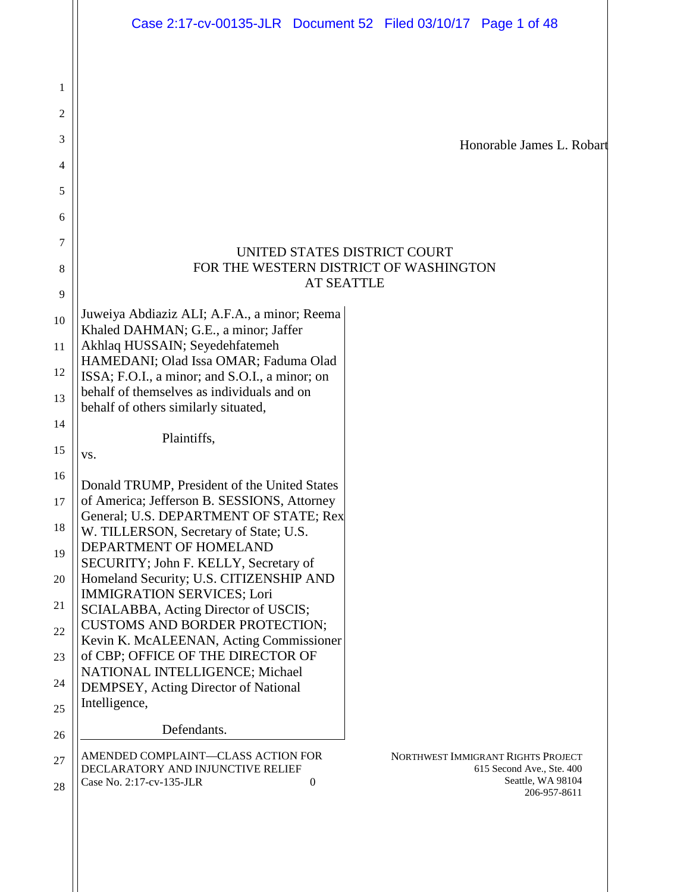|          | Case 2:17-cv-00135-JLR  Document 52  Filed 03/10/17  Page 1 of 48                                                                                   |
|----------|-----------------------------------------------------------------------------------------------------------------------------------------------------|
|          |                                                                                                                                                     |
| 1        |                                                                                                                                                     |
| 2        |                                                                                                                                                     |
| 3        | Honorable James L. Robart                                                                                                                           |
| 4        |                                                                                                                                                     |
| 5        |                                                                                                                                                     |
| 6        |                                                                                                                                                     |
| 7        | UNITED STATES DISTRICT COURT                                                                                                                        |
| 8        | FOR THE WESTERN DISTRICT OF WASHINGTON<br><b>AT SEATTLE</b>                                                                                         |
| 9        |                                                                                                                                                     |
| 10       | Juweiya Abdiaziz ALI; A.F.A., a minor; Reema<br>Khaled DAHMAN; G.E., a minor; Jaffer                                                                |
| 11       | Akhlaq HUSSAIN; Seyedehfatemeh                                                                                                                      |
| 12       | HAMEDANI; Olad Issa OMAR; Faduma Olad<br>ISSA; F.O.I., a minor; and S.O.I., a minor; on                                                             |
| 13       | behalf of themselves as individuals and on                                                                                                          |
| 14       | behalf of others similarly situated,                                                                                                                |
| 15       | Plaintiffs,<br>VS.                                                                                                                                  |
| 16       |                                                                                                                                                     |
| 17       | Donald TRUMP, President of the United States<br>of America; Jefferson B. SESSIONS, Attorney                                                         |
| 18       | General; U.S. DEPARTMENT OF STATE; Rex<br>W. TILLERSON, Secretary of State; U.S.                                                                    |
| 19       | DEPARTMENT OF HOMELAND                                                                                                                              |
| 20       | SECURITY; John F. KELLY, Secretary of<br>Homeland Security; U.S. CITIZENSHIP AND                                                                    |
| 21       | <b>IMMIGRATION SERVICES; Lori</b>                                                                                                                   |
| 22       | SCIALABBA, Acting Director of USCIS;<br><b>CUSTOMS AND BORDER PROTECTION;</b>                                                                       |
| 23       | Kevin K. McALEENAN, Acting Commissioner<br>of CBP; OFFICE OF THE DIRECTOR OF                                                                        |
|          | NATIONAL INTELLIGENCE; Michael                                                                                                                      |
| 24       | DEMPSEY, Acting Director of National<br>Intelligence,                                                                                               |
| 25<br>26 | Defendants.                                                                                                                                         |
| 27       | AMENDED COMPLAINT-CLASS ACTION FOR<br>NORTHWEST IMMIGRANT RIGHTS PROJECT                                                                            |
| 28       | DECLARATORY AND INJUNCTIVE RELIEF<br>615 Second Ave., Ste. 400<br>Seattle, WA 98104<br>Case No. 2:17-cv-135-JLR<br>$\boldsymbol{0}$<br>206-957-8611 |
|          |                                                                                                                                                     |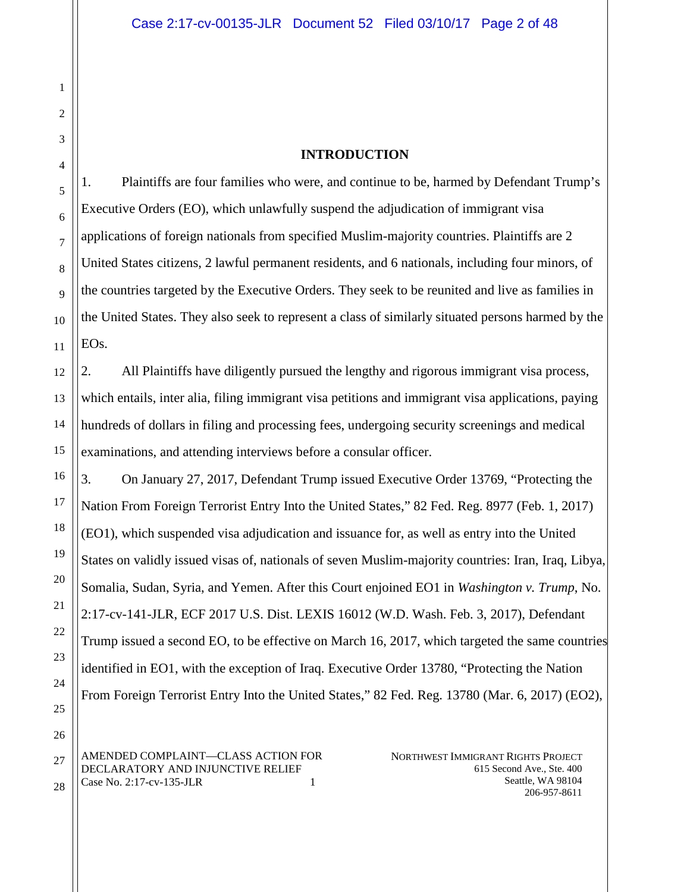#### **INTRODUCTION**

1. Plaintiffs are four families who were, and continue to be, harmed by Defendant Trump's Executive Orders (EO), which unlawfully suspend the adjudication of immigrant visa applications of foreign nationals from specified Muslim-majority countries. Plaintiffs are 2 United States citizens, 2 lawful permanent residents, and 6 nationals, including four minors, of the countries targeted by the Executive Orders. They seek to be reunited and live as families in the United States. They also seek to represent a class of similarly situated persons harmed by the EOs.

2. All Plaintiffs have diligently pursued the lengthy and rigorous immigrant visa process, which entails, inter alia, filing immigrant visa petitions and immigrant visa applications, paying hundreds of dollars in filing and processing fees, undergoing security screenings and medical examinations, and attending interviews before a consular officer.

3. On January 27, 2017, Defendant Trump issued Executive Order 13769, "Protecting the Nation From Foreign Terrorist Entry Into the United States," 82 Fed. Reg. 8977 (Feb. 1, 2017) (EO1), which suspended visa adjudication and issuance for, as well as entry into the United States on validly issued visas of, nationals of seven Muslim-majority countries: Iran, Iraq, Libya, Somalia, Sudan, Syria, and Yemen. After this Court enjoined EO1 in *Washington v. Trump*, No. 2:17-cv-141-JLR, ECF 2017 U.S. Dist. LEXIS 16012 (W.D. Wash. Feb. 3, 2017), Defendant Trump issued a second EO, to be effective on March 16, 2017, which targeted the same countries identified in EO1, with the exception of Iraq. Executive Order 13780, "Protecting the Nation From Foreign Terrorist Entry Into the United States," 82 Fed. Reg. 13780 (Mar. 6, 2017) (EO2),

AMENDED COMPLAINT—CLASS ACTION FOR DECLARATORY AND INJUNCTIVE RELIEF Case No. 2:17-cv-135-JLR 1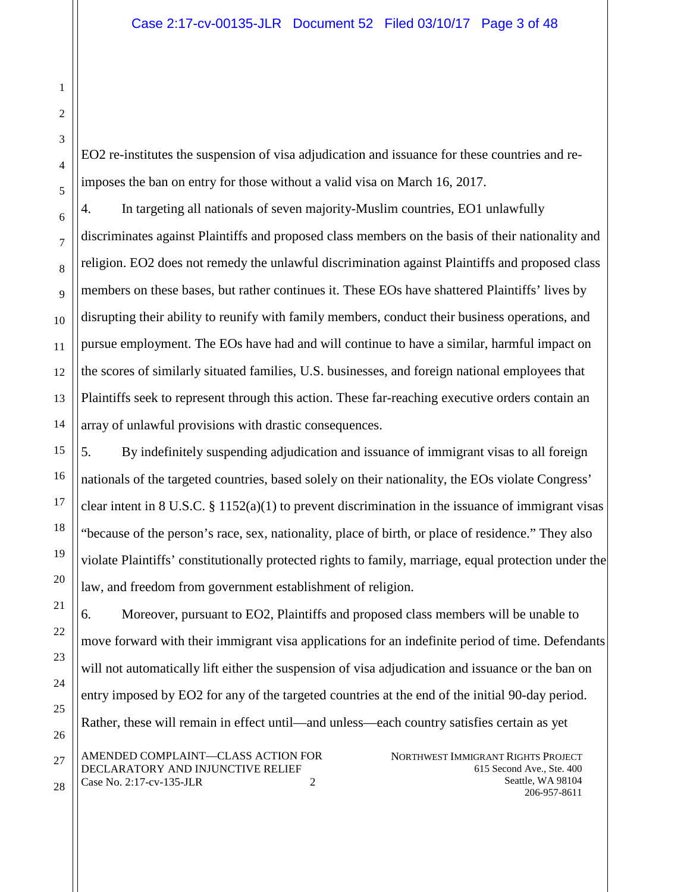EO2 re-institutes the suspension of visa adjudication and issuance for these countries and reimposes the ban on entry for those without a valid visa on March 16, 2017.

4. In targeting all nationals of seven majority-Muslim countries, EO1 unlawfully discriminates against Plaintiffs and proposed class members on the basis of their nationality and religion. EO2 does not remedy the unlawful discrimination against Plaintiffs and proposed class members on these bases, but rather continues it. These EOs have shattered Plaintiffs' lives by disrupting their ability to reunify with family members, conduct their business operations, and pursue employment. The EOs have had and will continue to have a similar, harmful impact on the scores of similarly situated families, U.S. businesses, and foreign national employees that Plaintiffs seek to represent through this action. These far-reaching executive orders contain an array of unlawful provisions with drastic consequences.

5. By indefinitely suspending adjudication and issuance of immigrant visas to all foreign nationals of the targeted countries, based solely on their nationality, the EOs violate Congress' clear intent in 8 U.S.C.  $\S 1152(a)(1)$  to prevent discrimination in the issuance of immigrant visas "because of the person's race, sex, nationality, place of birth, or place of residence." They also violate Plaintiffs' constitutionally protected rights to family, marriage, equal protection under the law, and freedom from government establishment of religion.

NORTHWEST IMMIGRANT RIGHTS PROJECT AMENDED COMPLAINT—CLASS ACTION FOR 6. Moreover, pursuant to EO2, Plaintiffs and proposed class members will be unable to move forward with their immigrant visa applications for an indefinite period of time. Defendants will not automatically lift either the suspension of visa adjudication and issuance or the ban on entry imposed by EO2 for any of the targeted countries at the end of the initial 90-day period. Rather, these will remain in effect until—and unless—each country satisfies certain as yet

DECLARATORY AND INJUNCTIVE RELIEF Case No. 2:17-cv-135-JLR 2 615 Second Ave., Ste. 400 Seattle, WA 98104 206-957-8611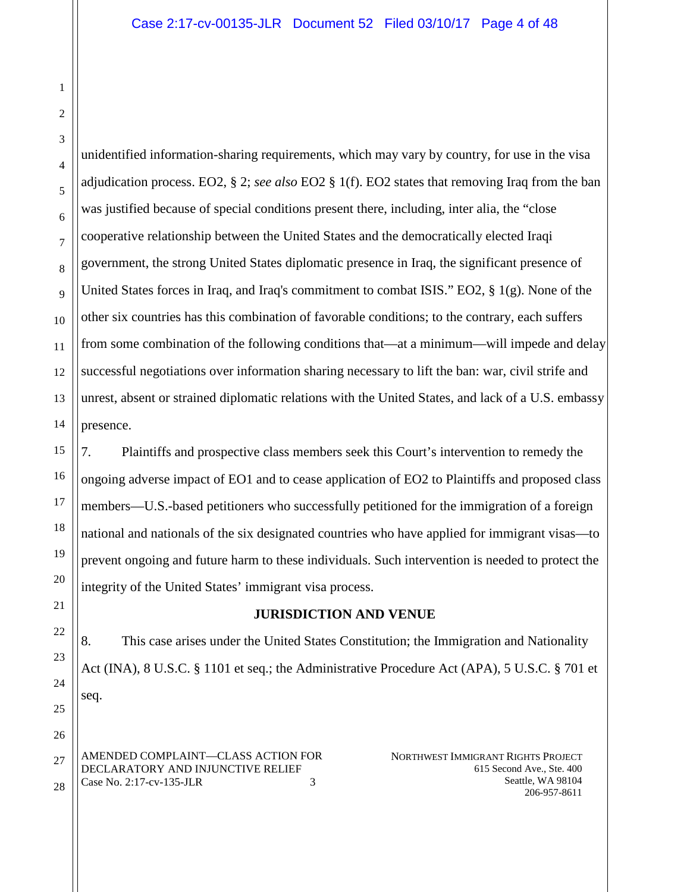unidentified information-sharing requirements, which may vary by country, for use in the visa adjudication process. EO2, § 2; *see also* EO2 § 1(f). EO2 states that removing Iraq from the ban was justified because of special conditions present there, including, inter alia, the "close cooperative relationship between the United States and the democratically elected Iraqi government, the strong United States diplomatic presence in Iraq, the significant presence of United States forces in Iraq, and Iraq's commitment to combat ISIS." EO2, § 1(g). None of the other six countries has this combination of favorable conditions; to the contrary, each suffers from some combination of the following conditions that—at a minimum—will impede and delay successful negotiations over information sharing necessary to lift the ban: war, civil strife and unrest, absent or strained diplomatic relations with the United States, and lack of a U.S. embassy presence.

7. Plaintiffs and prospective class members seek this Court's intervention to remedy the ongoing adverse impact of EO1 and to cease application of EO2 to Plaintiffs and proposed class members—U.S.-based petitioners who successfully petitioned for the immigration of a foreign national and nationals of the six designated countries who have applied for immigrant visas—to prevent ongoing and future harm to these individuals. Such intervention is needed to protect the integrity of the United States' immigrant visa process.

### **JURISDICTION AND VENUE**

8. This case arises under the United States Constitution; the Immigration and Nationality Act (INA), 8 U.S.C. § 1101 et seq.; the Administrative Procedure Act (APA), 5 U.S.C. § 701 et seq.

AMENDED COMPLAINT—CLASS ACTION FOR DECLARATORY AND INJUNCTIVE RELIEF Case No. 2:17-cv-135-JLR 3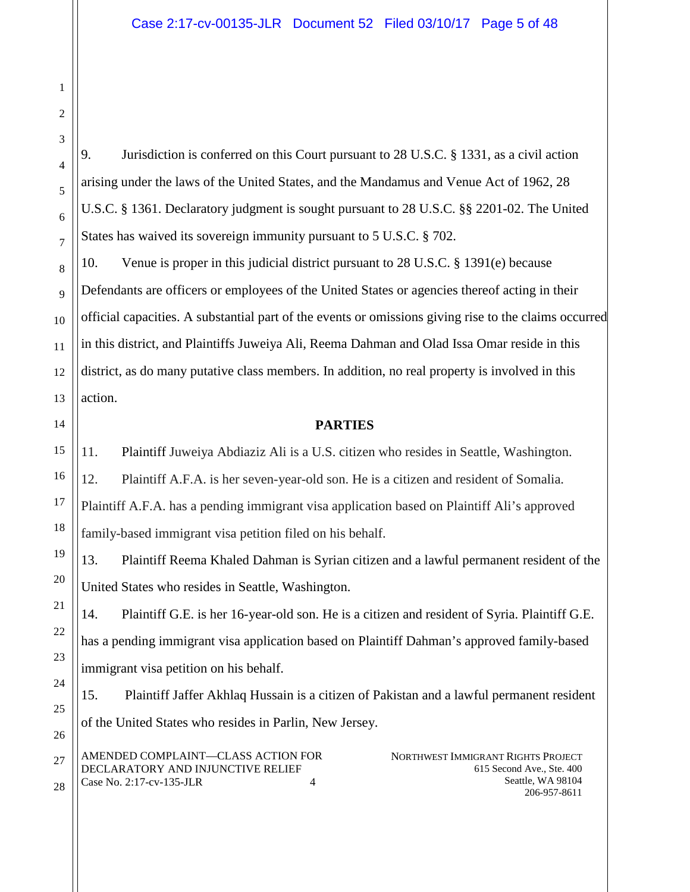9. Jurisdiction is conferred on this Court pursuant to 28 U.S.C. § 1331, as a civil action arising under the laws of the United States, and the Mandamus and Venue Act of 1962, 28 U.S.C. § 1361. Declaratory judgment is sought pursuant to 28 U.S.C. §§ 2201-02. The United States has waived its sovereign immunity pursuant to 5 U.S.C. § 702.

10. Venue is proper in this judicial district pursuant to 28 U.S.C. § 1391(e) because Defendants are officers or employees of the United States or agencies thereof acting in their official capacities. A substantial part of the events or omissions giving rise to the claims occurred in this district, and Plaintiffs Juweiya Ali, Reema Dahman and Olad Issa Omar reside in this district, as do many putative class members. In addition, no real property is involved in this action.

### **PARTIES**

11. Plaintiff Juweiya Abdiaziz Ali is a U.S. citizen who resides in Seattle, Washington.

12. Plaintiff A.F.A. is her seven-year-old son. He is a citizen and resident of Somalia.

Plaintiff A.F.A. has a pending immigrant visa application based on Plaintiff Ali's approved family-based immigrant visa petition filed on his behalf.

13. Plaintiff Reema Khaled Dahman is Syrian citizen and a lawful permanent resident of the United States who resides in Seattle, Washington.

14. Plaintiff G.E. is her 16-year-old son. He is a citizen and resident of Syria. Plaintiff G.E. has a pending immigrant visa application based on Plaintiff Dahman's approved family-based immigrant visa petition on his behalf.

15. Plaintiff Jaffer Akhlaq Hussain is a citizen of Pakistan and a lawful permanent resident of the United States who resides in Parlin, New Jersey.

AMENDED COMPLAINT—CLASS ACTION FOR DECLARATORY AND INJUNCTIVE RELIEF Case No. 2:17-cv-135-JLR 4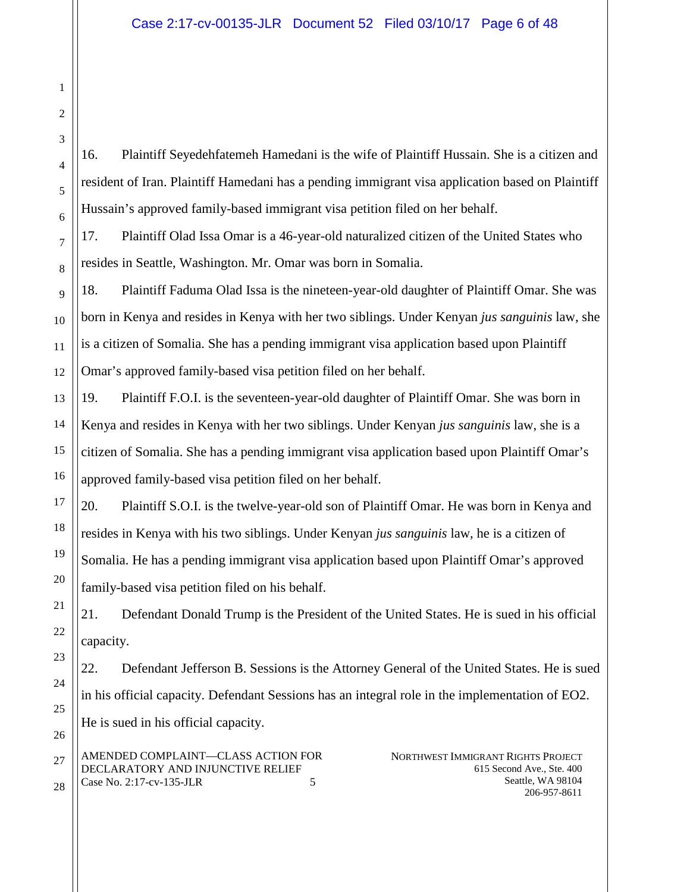16. Plaintiff Seyedehfatemeh Hamedani is the wife of Plaintiff Hussain. She is a citizen and resident of Iran. Plaintiff Hamedani has a pending immigrant visa application based on Plaintiff Hussain's approved family-based immigrant visa petition filed on her behalf.

17. Plaintiff Olad Issa Omar is a 46-year-old naturalized citizen of the United States who resides in Seattle, Washington. Mr. Omar was born in Somalia.

18. Plaintiff Faduma Olad Issa is the nineteen-year-old daughter of Plaintiff Omar. She was born in Kenya and resides in Kenya with her two siblings. Under Kenyan *jus sanguinis* law, she is a citizen of Somalia. She has a pending immigrant visa application based upon Plaintiff Omar's approved family-based visa petition filed on her behalf.

19. Plaintiff F.O.I. is the seventeen-year-old daughter of Plaintiff Omar. She was born in Kenya and resides in Kenya with her two siblings. Under Kenyan *jus sanguinis* law, she is a citizen of Somalia. She has a pending immigrant visa application based upon Plaintiff Omar's approved family-based visa petition filed on her behalf.

20. Plaintiff S.O.I. is the twelve-year-old son of Plaintiff Omar. He was born in Kenya and resides in Kenya with his two siblings. Under Kenyan *jus sanguinis* law, he is a citizen of Somalia. He has a pending immigrant visa application based upon Plaintiff Omar's approved family-based visa petition filed on his behalf.

21. Defendant Donald Trump is the President of the United States. He is sued in his official capacity.

22. Defendant Jefferson B. Sessions is the Attorney General of the United States. He is sued in his official capacity. Defendant Sessions has an integral role in the implementation of EO2. He is sued in his official capacity.

AMENDED COMPLAINT—CLASS ACTION FOR DECLARATORY AND INJUNCTIVE RELIEF Case No. 2:17-cv-135-JLR 5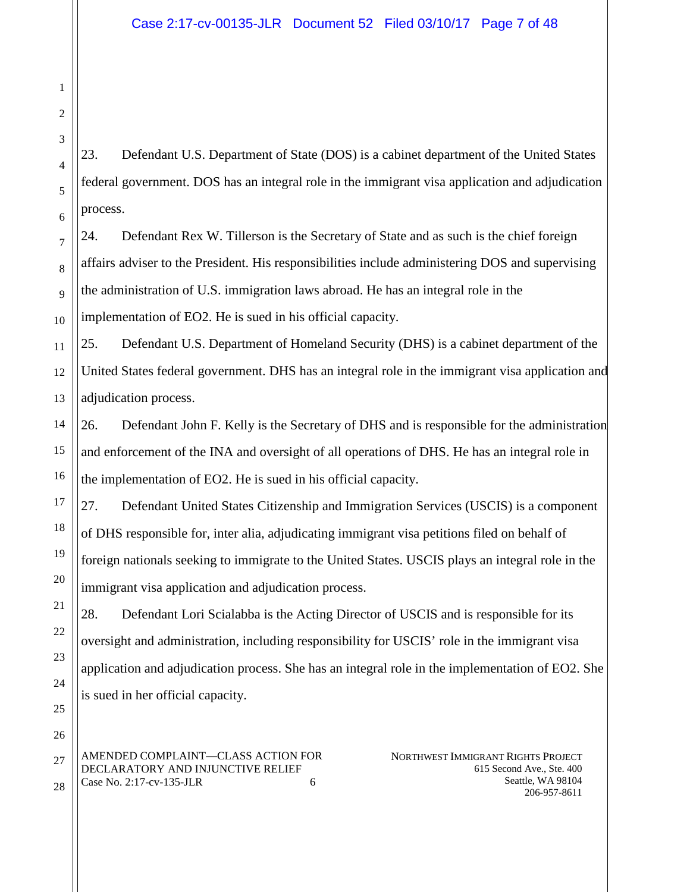23. Defendant U.S. Department of State (DOS) is a cabinet department of the United States federal government. DOS has an integral role in the immigrant visa application and adjudication process.

24. Defendant Rex W. Tillerson is the Secretary of State and as such is the chief foreign affairs adviser to the President. His responsibilities include administering DOS and supervising the administration of U.S. immigration laws abroad. He has an integral role in the implementation of EO2. He is sued in his official capacity.

25. Defendant U.S. Department of Homeland Security (DHS) is a cabinet department of the United States federal government. DHS has an integral role in the immigrant visa application and adjudication process.

26. Defendant John F. Kelly is the Secretary of DHS and is responsible for the administration and enforcement of the INA and oversight of all operations of DHS. He has an integral role in the implementation of EO2. He is sued in his official capacity.

27. Defendant United States Citizenship and Immigration Services (USCIS) is a component of DHS responsible for, inter alia, adjudicating immigrant visa petitions filed on behalf of foreign nationals seeking to immigrate to the United States. USCIS plays an integral role in the immigrant visa application and adjudication process.

28. Defendant Lori Scialabba is the Acting Director of USCIS and is responsible for its oversight and administration, including responsibility for USCIS' role in the immigrant visa application and adjudication process. She has an integral role in the implementation of EO2. She is sued in her official capacity.

AMENDED COMPLAINT—CLASS ACTION FOR DECLARATORY AND INJUNCTIVE RELIEF Case No. 2:17-cv-135-JLR 6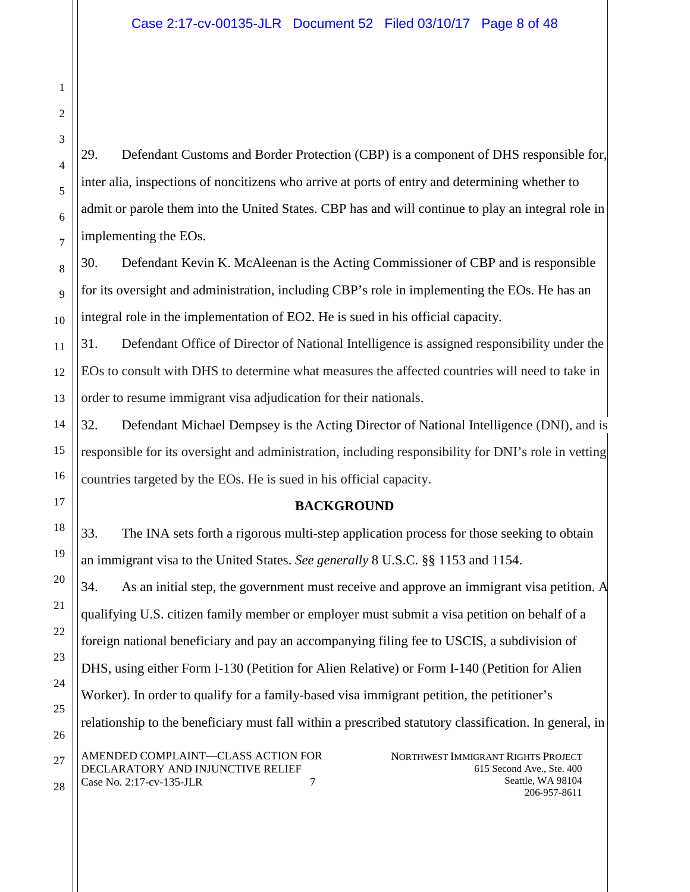29. Defendant Customs and Border Protection (CBP) is a component of DHS responsible for, inter alia, inspections of noncitizens who arrive at ports of entry and determining whether to admit or parole them into the United States. CBP has and will continue to play an integral role in implementing the EOs.

30. Defendant Kevin K. McAleenan is the Acting Commissioner of CBP and is responsible for its oversight and administration, including CBP's role in implementing the EOs. He has an integral role in the implementation of EO2. He is sued in his official capacity.

31. Defendant Office of Director of National Intelligence is assigned responsibility under the EOs to consult with DHS to determine what measures the affected countries will need to take in order to resume immigrant visa adjudication for their nationals.

32. Defendant Michael Dempsey is the Acting Director of National Intelligence (DNI), and is responsible for its oversight and administration, including responsibility for DNI's role in vetting countries targeted by the EOs. He is sued in his official capacity.

### **BACKGROUND**

33. The INA sets forth a rigorous multi-step application process for those seeking to obtain an immigrant visa to the United States. *See generally* 8 U.S.C. §§ 1153 and 1154.

NORTHWEST IMMIGRANT RIGHTS PROJECT 615 Second Ave., Ste. 400 AMENDED COMPLAINT—CLASS ACTION FOR DECLARATORY AND INJUNCTIVE RELIEF Case No. 2:17-cv-135-JLR 7 34. As an initial step, the government must receive and approve an immigrant visa petition. A qualifying U.S. citizen family member or employer must submit a visa petition on behalf of a foreign national beneficiary and pay an accompanying filing fee to USCIS, a subdivision of DHS, using either Form I-130 (Petition for Alien Relative) or Form I-140 (Petition for Alien Worker). In order to qualify for a family-based visa immigrant petition, the petitioner's relationship to the beneficiary must fall within a prescribed statutory classification. In general, in

Seattle, WA 98104 206-957-8611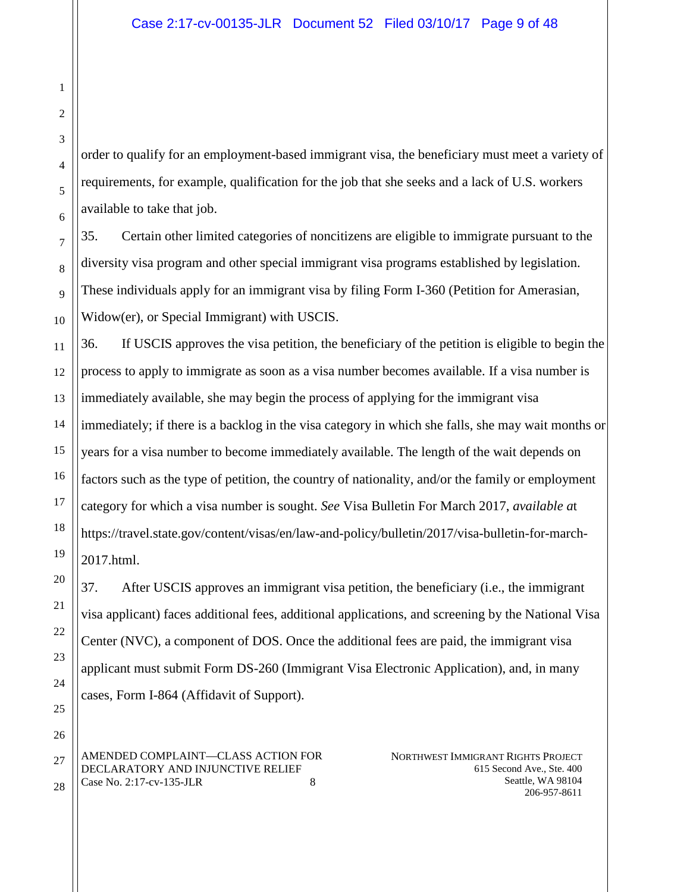order to qualify for an employment-based immigrant visa, the beneficiary must meet a variety of requirements, for example, qualification for the job that she seeks and a lack of U.S. workers available to take that job.

35. Certain other limited categories of noncitizens are eligible to immigrate pursuant to the diversity visa program and other special immigrant visa programs established by legislation. These individuals apply for an immigrant visa by filing Form I-360 (Petition for Amerasian, Widow(er), or Special Immigrant) with USCIS.

36. If USCIS approves the visa petition, the beneficiary of the petition is eligible to begin the process to apply to immigrate as soon as a visa number becomes available. If a visa number is immediately available, she may begin the process of applying for the immigrant visa immediately; if there is a backlog in the visa category in which she falls, she may wait months or years for a visa number to become immediately available. The length of the wait depends on factors such as the type of petition, the country of nationality, and/or the family or employment category for which a visa number is sought. *See* Visa Bulletin For March 2017, *available a*t https://travel.state.gov/content/visas/en/law-and-policy/bulletin/2017/visa-bulletin-for-march-2017.html.

37. After USCIS approves an immigrant visa petition, the beneficiary (i.e., the immigrant visa applicant) faces additional fees, additional applications, and screening by the National Visa Center (NVC), a component of DOS. Once the additional fees are paid, the immigrant visa applicant must submit Form DS-260 (Immigrant Visa Electronic Application), and, in many cases, Form I-864 (Affidavit of Support).

AMENDED COMPLAINT—CLASS ACTION FOR DECLARATORY AND INJUNCTIVE RELIEF Case No. 2:17-cv-135-JLR 8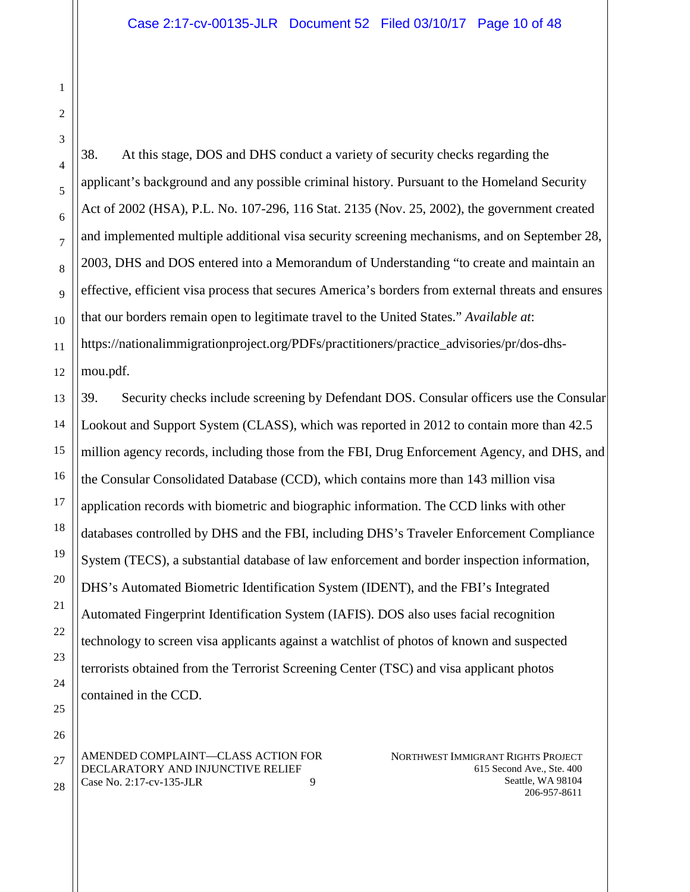28

38. At this stage, DOS and DHS conduct a variety of security checks regarding the applicant's background and any possible criminal history. Pursuant to the Homeland Security Act of 2002 (HSA), P.L. No. 107-296, 116 Stat. 2135 (Nov. 25, 2002), the government created and implemented multiple additional visa security screening mechanisms, and on September 28, 2003, DHS and DOS entered into a Memorandum of Understanding "to create and maintain an effective, efficient visa process that secures America's borders from external threats and ensures that our borders remain open to legitimate travel to the United States." *Available at*: https://nationalimmigrationproject.org/PDFs/practitioners/practice\_advisories/pr/dos-dhsmou.pdf.

39. Security checks include screening by Defendant DOS. Consular officers use the Consular Lookout and Support System (CLASS), which was reported in 2012 to contain more than 42.5 million agency records, including those from the FBI, Drug Enforcement Agency, and DHS, and the Consular Consolidated Database (CCD), which contains more than 143 million visa application records with biometric and biographic information. The CCD links with other databases controlled by DHS and the FBI, including DHS's Traveler Enforcement Compliance System (TECS), a substantial database of law enforcement and border inspection information, DHS's Automated Biometric Identification System (IDENT), and the FBI's Integrated Automated Fingerprint Identification System (IAFIS). DOS also uses facial recognition technology to screen visa applicants against a watchlist of photos of known and suspected terrorists obtained from the Terrorist Screening Center (TSC) and visa applicant photos contained in the CCD.

AMENDED COMPLAINT—CLASS ACTION FOR DECLARATORY AND INJUNCTIVE RELIEF Case No. 2:17-cv-135-JLR 9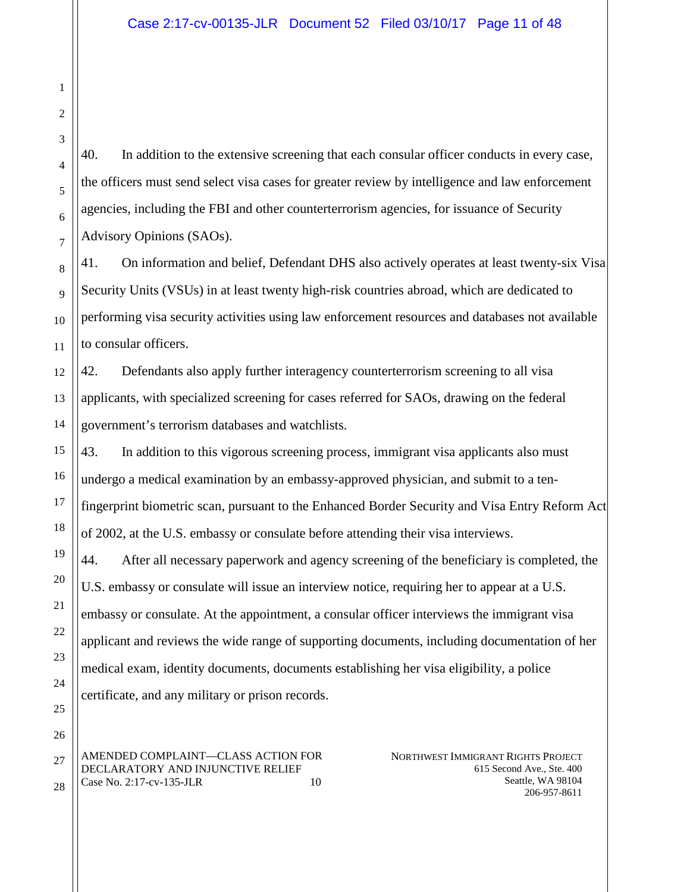40. In addition to the extensive screening that each consular officer conducts in every case, the officers must send select visa cases for greater review by intelligence and law enforcement agencies, including the FBI and other counterterrorism agencies, for issuance of Security Advisory Opinions (SAOs).

41. On information and belief, Defendant DHS also actively operates at least twenty-six Visa Security Units (VSUs) in at least twenty high-risk countries abroad, which are dedicated to performing visa security activities using law enforcement resources and databases not available to consular officers.

42. Defendants also apply further interagency counterterrorism screening to all visa applicants, with specialized screening for cases referred for SAOs, drawing on the federal government's terrorism databases and watchlists.

43. In addition to this vigorous screening process, immigrant visa applicants also must undergo a medical examination by an embassy-approved physician, and submit to a tenfingerprint biometric scan, pursuant to the Enhanced Border Security and Visa Entry Reform Act of 2002, at the U.S. embassy or consulate before attending their visa interviews.

44. After all necessary paperwork and agency screening of the beneficiary is completed, the U.S. embassy or consulate will issue an interview notice, requiring her to appear at a U.S. embassy or consulate. At the appointment, a consular officer interviews the immigrant visa applicant and reviews the wide range of supporting documents, including documentation of her medical exam, identity documents, documents establishing her visa eligibility, a police certificate, and any military or prison records.

AMENDED COMPLAINT—CLASS ACTION FOR DECLARATORY AND INJUNCTIVE RELIEF Case No. 2:17-cv-135-JLR 10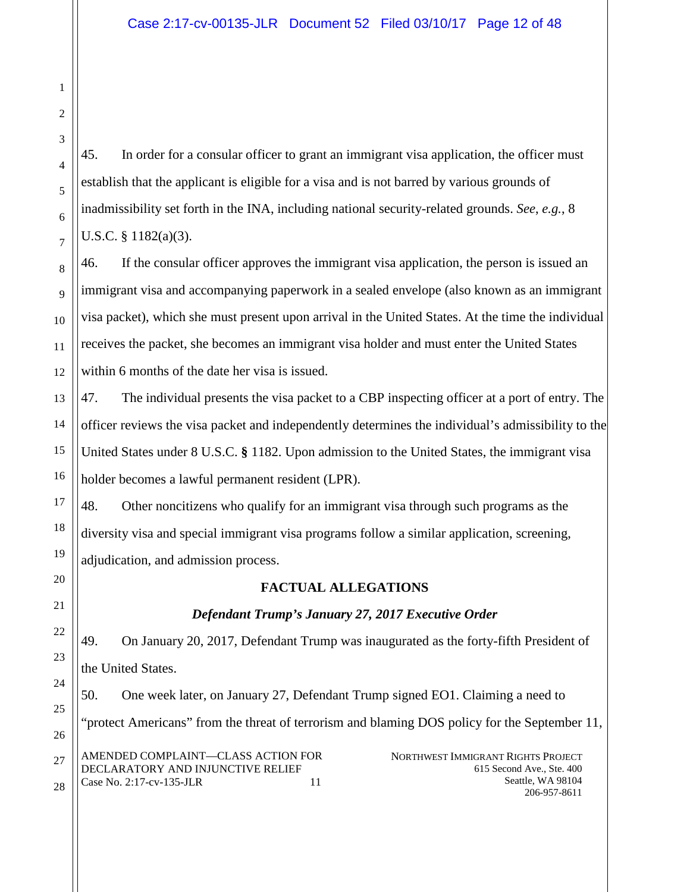45. In order for a consular officer to grant an immigrant visa application, the officer must establish that the applicant is eligible for a visa and is not barred by various grounds of inadmissibility set forth in the INA, including national security-related grounds. *See*, *e.g.*, 8 U.S.C. § 1182(a)(3).

46. If the consular officer approves the immigrant visa application, the person is issued an immigrant visa and accompanying paperwork in a sealed envelope (also known as an immigrant visa packet), which she must present upon arrival in the United States. At the time the individual receives the packet, she becomes an immigrant visa holder and must enter the United States within 6 months of the date her visa is issued.

47. The individual presents the visa packet to a CBP inspecting officer at a port of entry. The officer reviews the visa packet and independently determines the individual's admissibility to the United States under 8 U.S.C. **§** 1182. Upon admission to the United States, the immigrant visa holder becomes a lawful permanent resident (LPR).

48. Other noncitizens who qualify for an immigrant visa through such programs as the diversity visa and special immigrant visa programs follow a similar application, screening, adjudication, and admission process.

# **FACTUAL ALLEGATIONS**

# *Defendant Trump's January 27, 2017 Executive Order*

49. On January 20, 2017, Defendant Trump was inaugurated as the forty-fifth President of the United States.

NORTHWEST IMMIGRANT RIGHTS PROJECT 615 Second Ave., Ste. 400 Seattle, WA 98104 AMENDED COMPLAINT—CLASS ACTION FOR DECLARATORY AND INJUNCTIVE RELIEF 50. One week later, on January 27, Defendant Trump signed EO1. Claiming a need to "protect Americans" from the threat of terrorism and blaming DOS policy for the September 11,

Case No. 2:17-cv-135-JLR 11

206-957-8611

1

2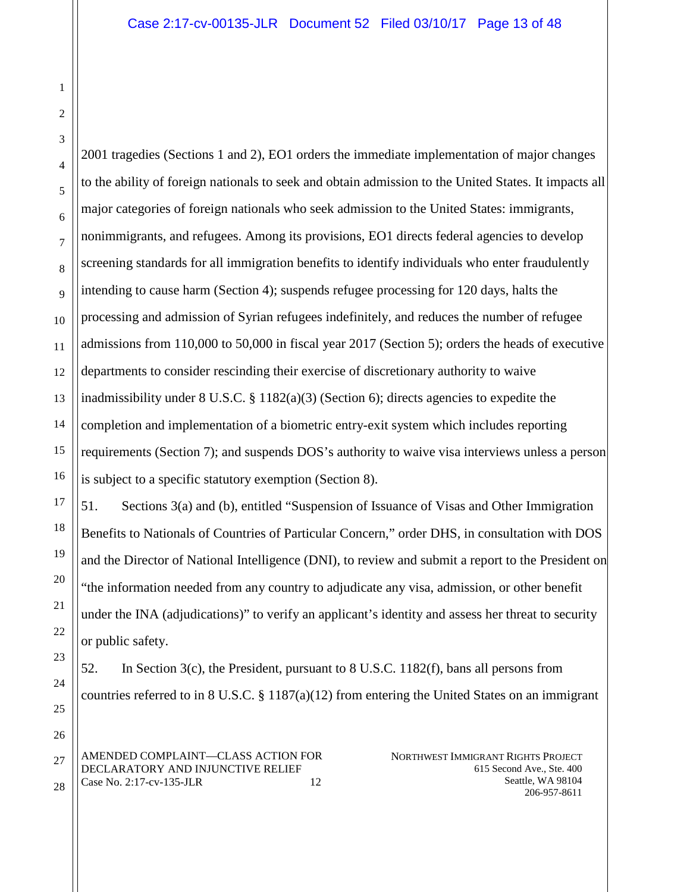28

1

2001 tragedies (Sections 1 and 2), EO1 orders the immediate implementation of major changes to the ability of foreign nationals to seek and obtain admission to the United States. It impacts all major categories of foreign nationals who seek admission to the United States: immigrants, nonimmigrants, and refugees. Among its provisions, EO1 directs federal agencies to develop screening standards for all immigration benefits to identify individuals who enter fraudulently intending to cause harm (Section 4); suspends refugee processing for 120 days, halts the processing and admission of Syrian refugees indefinitely, and reduces the number of refugee admissions from 110,000 to 50,000 in fiscal year 2017 (Section 5); orders the heads of executive departments to consider rescinding their exercise of discretionary authority to waive inadmissibility under  $8 \text{ U.S.C.} \$  $8 \frac{1182(a)(3)}{2}$  (Section 6); directs agencies to expedite the completion and implementation of a biometric entry-exit system which includes reporting requirements (Section 7); and suspends DOS's authority to waive visa interviews unless a person is subject to a specific statutory exemption (Section 8).

51. Sections 3(a) and (b), entitled "Suspension of Issuance of Visas and Other Immigration Benefits to Nationals of Countries of Particular Concern," order DHS, in consultation with DOS and the Director of National Intelligence (DNI), to review and submit a report to the President on "the information needed from any country to adjudicate any visa, admission, or other benefit under the INA (adjudications)" to verify an applicant's identity and assess her threat to security or public safety.

52. In Section 3(c), the President, pursuant to 8 U.S.C. 1182(f), bans all persons from countries referred to in 8 U.S.C.  $\S 1187(a)(12)$  from entering the United States on an immigrant

AMENDED COMPLAINT—CLASS ACTION FOR DECLARATORY AND INJUNCTIVE RELIEF Case No. 2:17-cv-135-JLR 12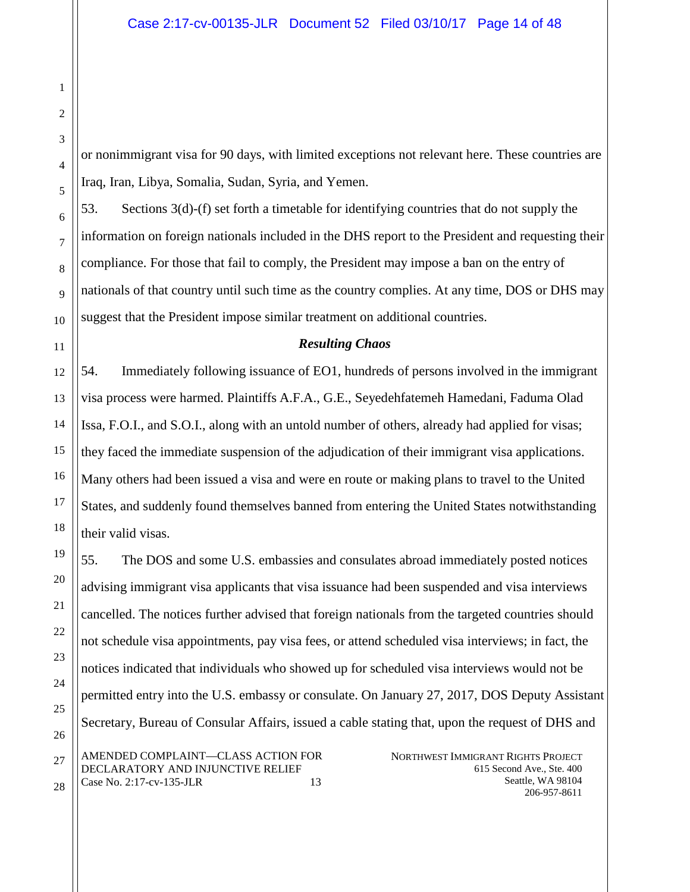or nonimmigrant visa for 90 days, with limited exceptions not relevant here. These countries are Iraq, Iran, Libya, Somalia, Sudan, Syria, and Yemen.

53. Sections 3(d)-(f) set forth a timetable for identifying countries that do not supply the information on foreign nationals included in the DHS report to the President and requesting their compliance. For those that fail to comply, the President may impose a ban on the entry of nationals of that country until such time as the country complies. At any time, DOS or DHS may suggest that the President impose similar treatment on additional countries.

#### *Resulting Chaos*

54. Immediately following issuance of EO1, hundreds of persons involved in the immigrant visa process were harmed. Plaintiffs A.F.A., G.E., Seyedehfatemeh Hamedani, Faduma Olad Issa, F.O.I., and S.O.I., along with an untold number of others, already had applied for visas; they faced the immediate suspension of the adjudication of their immigrant visa applications. Many others had been issued a visa and were en route or making plans to travel to the United States, and suddenly found themselves banned from entering the United States notwithstanding their valid visas.

NORTHWEST IMMIGRANT RIGHTS PROJECT 615 Second Ave., Ste. 400 Seattle, WA 98104 AMENDED COMPLAINT—CLASS ACTION FOR DECLARATORY AND INJUNCTIVE RELIEF Case No. 2:17-cv-135-JLR 13 55. The DOS and some U.S. embassies and consulates abroad immediately posted notices advising immigrant visa applicants that visa issuance had been suspended and visa interviews cancelled. The notices further advised that foreign nationals from the targeted countries should not schedule visa appointments, pay visa fees, or attend scheduled visa interviews; in fact, the notices indicated that individuals who showed up for scheduled visa interviews would not be permitted entry into the U.S. embassy or consulate. On January 27, 2017, DOS Deputy Assistant Secretary, Bureau of Consular Affairs, issued a cable stating that, upon the request of DHS and

206-957-8611

1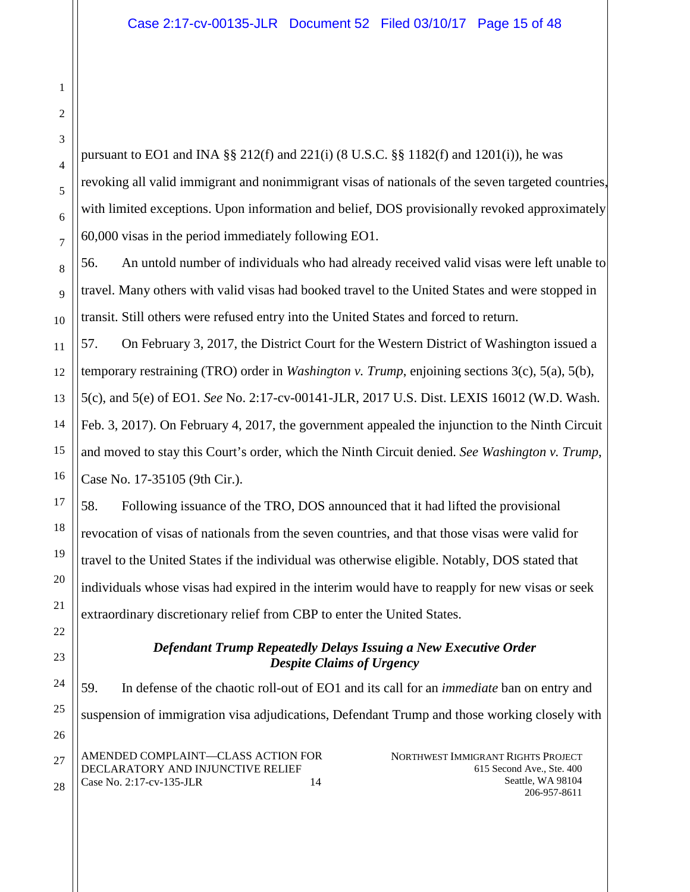pursuant to EO1 and INA §§ 212(f) and 221(i) (8 U.S.C. §§ 1182(f) and 1201(i)), he was revoking all valid immigrant and nonimmigrant visas of nationals of the seven targeted countries, with limited exceptions. Upon information and belief, DOS provisionally revoked approximately 60,000 visas in the period immediately following EO1.

56. An untold number of individuals who had already received valid visas were left unable to travel. Many others with valid visas had booked travel to the United States and were stopped in transit. Still others were refused entry into the United States and forced to return.

57. On February 3, 2017, the District Court for the Western District of Washington issued a temporary restraining (TRO) order in *Washington v. Trump*, enjoining sections 3(c), 5(a), 5(b), 5(c), and 5(e) of EO1. *See* No. 2:17-cv-00141-JLR, 2017 U.S. Dist. LEXIS 16012 (W.D. Wash. Feb. 3, 2017). On February 4, 2017, the government appealed the injunction to the Ninth Circuit and moved to stay this Court's order, which the Ninth Circuit denied. *See Washington v. Trump*, Case No. 17-35105 (9th Cir.).

58. Following issuance of the TRO, DOS announced that it had lifted the provisional revocation of visas of nationals from the seven countries, and that those visas were valid for travel to the United States if the individual was otherwise eligible. Notably, DOS stated that individuals whose visas had expired in the interim would have to reapply for new visas or seek extraordinary discretionary relief from CBP to enter the United States.

# *Defendant Trump Repeatedly Delays Issuing a New Executive Order Despite Claims of Urgency*

NORTHWEST IMMIGRANT RIGHTS PROJECT AMENDED COMPLAINT—CLASS ACTION FOR 59. In defense of the chaotic roll-out of EO1 and its call for an *immediate* ban on entry and suspension of immigration visa adjudications, Defendant Trump and those working closely with

DECLARATORY AND INJUNCTIVE RELIEF Case No. 2:17-cv-135-JLR 14 615 Second Ave., Ste. 400 Seattle, WA 98104 206-957-8611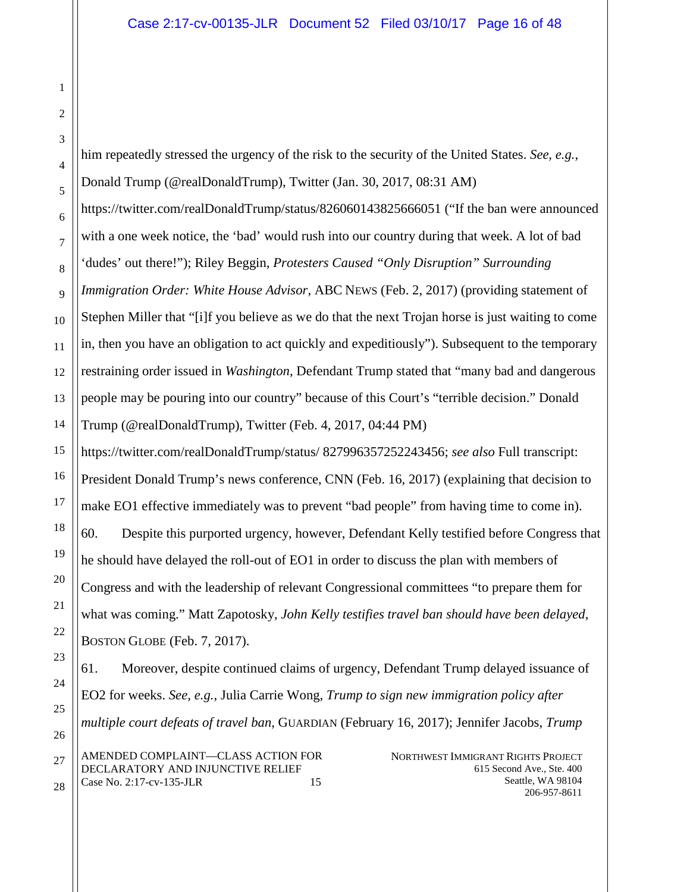him repeatedly stressed the urgency of the risk to the security of the United States. *See, e.g.*, Donald Trump (@realDonaldTrump), Twitter (Jan. 30, 2017, 08:31 AM) https://twitter.com/realDonaldTrump/status/826060143825666051 ("If the ban were announced with a one week notice, the 'bad' would rush into our country during that week. A lot of bad 'dudes' out there!"); Riley Beggin, *Protesters Caused "Only Disruption" Surrounding Immigration Order: White House Advisor*, ABC NEWS (Feb. 2, 2017) (providing statement of Stephen Miller that "[i]f you believe as we do that the next Trojan horse is just waiting to come in, then you have an obligation to act quickly and expeditiously"). Subsequent to the temporary restraining order issued in *Washington*, Defendant Trump stated that "many bad and dangerous people may be pouring into our country" because of this Court's "terrible decision." Donald Trump (@realDonaldTrump), Twitter (Feb. 4, 2017, 04:44 PM) https://twitter.com/realDonaldTrump/status/ 827996357252243456; *see also* Full transcript: President Donald Trump's news conference, CNN (Feb. 16, 2017) (explaining that decision to make EO1 effective immediately was to prevent "bad people" from having time to come in). 60. Despite this purported urgency, however, Defendant Kelly testified before Congress that he should have delayed the roll-out of EO1 in order to discuss the plan with members of Congress and with the leadership of relevant Congressional committees "to prepare them for what was coming." Matt Zapotosky, *John Kelly testifies travel ban should have been delayed*, BOSTON GLOBE (Feb. 7, 2017).

NORTHWEST IMMIGRANT RIGHTS PROJECT 615 Second Ave., Ste. 400 Seattle, WA 98104 206-957-8611 AMENDED COMPLAINT—CLASS ACTION FOR DECLARATORY AND INJUNCTIVE RELIEF Case No. 2:17-cv-135-JLR 15 61. Moreover, despite continued claims of urgency, Defendant Trump delayed issuance of EO2 for weeks. *See, e.g.*, Julia Carrie Wong, *Trump to sign new immigration policy after multiple court defeats of travel ban*, GUARDIAN (February 16, 2017); Jennifer Jacobs, *Trump*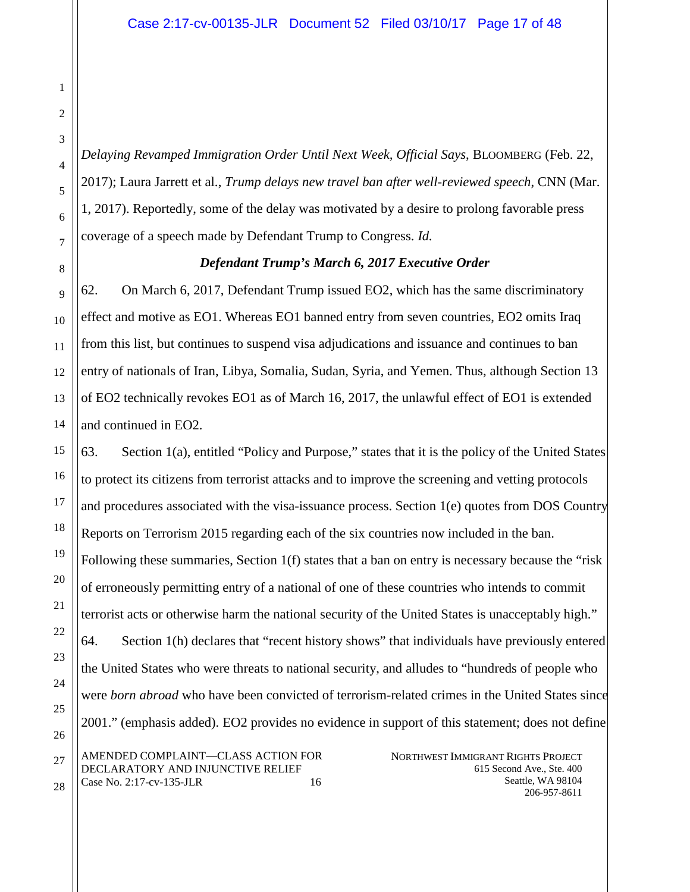*Delaying Revamped Immigration Order Until Next Week, Official Says*, BLOOMBERG (Feb. 22, 2017); Laura Jarrett et al., *Trump delays new travel ban after well-reviewed speech*, CNN (Mar. 1, 2017). Reportedly, some of the delay was motivated by a desire to prolong favorable press coverage of a speech made by Defendant Trump to Congress. *Id.*

#### *Defendant Trump's March 6, 2017 Executive Order*

62. On March 6, 2017, Defendant Trump issued EO2, which has the same discriminatory effect and motive as EO1. Whereas EO1 banned entry from seven countries, EO2 omits Iraq from this list, but continues to suspend visa adjudications and issuance and continues to ban entry of nationals of Iran, Libya, Somalia, Sudan, Syria, and Yemen. Thus, although Section 13 of EO2 technically revokes EO1 as of March 16, 2017, the unlawful effect of EO1 is extended and continued in EO2.

NORTHWEST IMMIGRANT RIGHTS PROJECT 615 Second Ave., Ste. 400 Seattle, WA 98104 AMENDED COMPLAINT—CLASS ACTION FOR DECLARATORY AND INJUNCTIVE RELIEF Case No. 2:17-cv-135-JLR 16 63. Section 1(a), entitled "Policy and Purpose," states that it is the policy of the United States to protect its citizens from terrorist attacks and to improve the screening and vetting protocols and procedures associated with the visa-issuance process. Section 1(e) quotes from DOS Country Reports on Terrorism 2015 regarding each of the six countries now included in the ban. Following these summaries, Section 1(f) states that a ban on entry is necessary because the "risk of erroneously permitting entry of a national of one of these countries who intends to commit terrorist acts or otherwise harm the national security of the United States is unacceptably high." 64. Section 1(h) declares that "recent history shows" that individuals have previously entered the United States who were threats to national security, and alludes to "hundreds of people who were *born abroad* who have been convicted of terrorism-related crimes in the United States since 2001." (emphasis added). EO2 provides no evidence in support of this statement; does not define

206-957-8611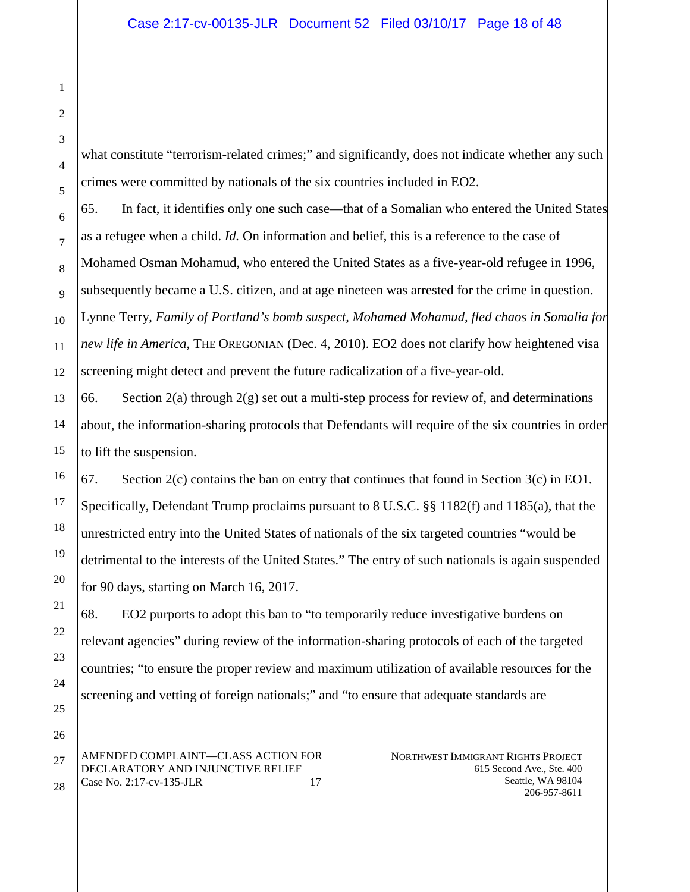what constitute "terrorism-related crimes;" and significantly, does not indicate whether any such crimes were committed by nationals of the six countries included in EO2.

65. In fact, it identifies only one such case—that of a Somalian who entered the United States as a refugee when a child. *Id.* On information and belief, this is a reference to the case of Mohamed Osman Mohamud, who entered the United States as a five-year-old refugee in 1996, subsequently became a U.S. citizen, and at age nineteen was arrested for the crime in question. Lynne Terry, *Family of Portland's bomb suspect, Mohamed Mohamud, fled chaos in Somalia for new life in America*, THE OREGONIAN (Dec. 4, 2010). EO2 does not clarify how heightened visa screening might detect and prevent the future radicalization of a five-year-old.

66. Section 2(a) through  $2(g)$  set out a multi-step process for review of, and determinations about, the information-sharing protocols that Defendants will require of the six countries in order to lift the suspension.

67. Section 2(c) contains the ban on entry that continues that found in Section 3(c) in EO1. Specifically, Defendant Trump proclaims pursuant to 8 U.S.C. §§ 1182(f) and 1185(a), that the unrestricted entry into the United States of nationals of the six targeted countries "would be detrimental to the interests of the United States." The entry of such nationals is again suspended for 90 days, starting on March 16, 2017.

68. EO2 purports to adopt this ban to "to temporarily reduce investigative burdens on relevant agencies" during review of the information-sharing protocols of each of the targeted countries; "to ensure the proper review and maximum utilization of available resources for the screening and vetting of foreign nationals;" and "to ensure that adequate standards are

AMENDED COMPLAINT—CLASS ACTION FOR DECLARATORY AND INJUNCTIVE RELIEF Case No. 2:17-cv-135-JLR 17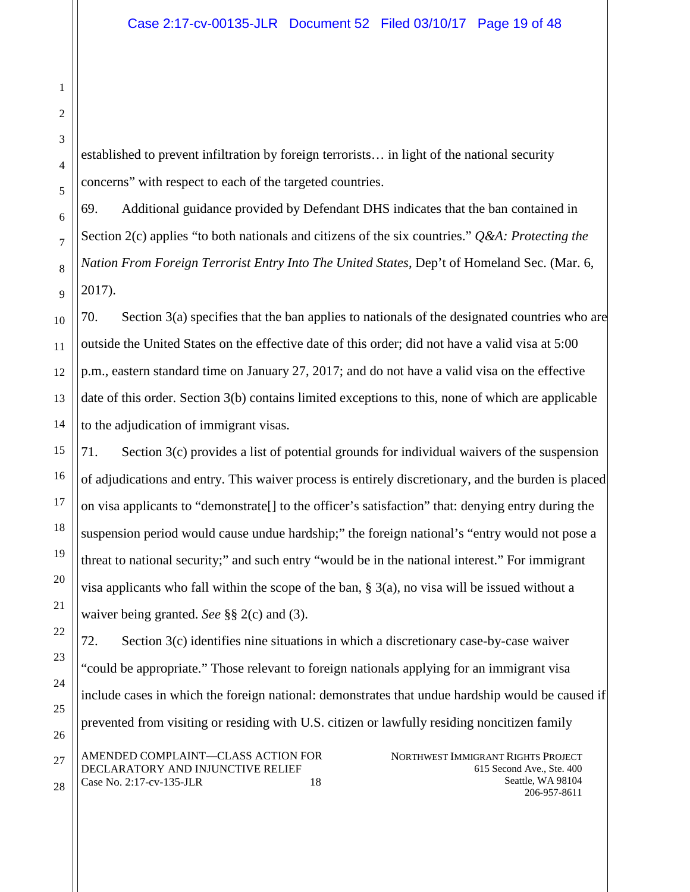established to prevent infiltration by foreign terrorists… in light of the national security concerns" with respect to each of the targeted countries.

69. Additional guidance provided by Defendant DHS indicates that the ban contained in Section 2(c) applies "to both nationals and citizens of the six countries." *Q&A: Protecting the Nation From Foreign Terrorist Entry Into The United States*, Dep't of Homeland Sec. (Mar. 6, 2017).

70. Section 3(a) specifies that the ban applies to nationals of the designated countries who are outside the United States on the effective date of this order; did not have a valid visa at 5:00 p.m., eastern standard time on January 27, 2017; and do not have a valid visa on the effective date of this order. Section 3(b) contains limited exceptions to this, none of which are applicable to the adjudication of immigrant visas.

71. Section 3(c) provides a list of potential grounds for individual waivers of the suspension of adjudications and entry. This waiver process is entirely discretionary, and the burden is placed on visa applicants to "demonstrate[] to the officer's satisfaction" that: denying entry during the suspension period would cause undue hardship;" the foreign national's "entry would not pose a threat to national security;" and such entry "would be in the national interest." For immigrant visa applicants who fall within the scope of the ban,  $\S$  3(a), no visa will be issued without a waiver being granted. *See* §§ 2(c) and (3).

NORTHWEST IMMIGRANT RIGHTS PROJECT 615 Second Ave., Ste. 400 Seattle, WA 98104 AMENDED COMPLAINT—CLASS ACTION FOR DECLARATORY AND INJUNCTIVE RELIEF Case No. 2:17-cv-135-JLR 18 72. Section 3(c) identifies nine situations in which a discretionary case-by-case waiver "could be appropriate." Those relevant to foreign nationals applying for an immigrant visa include cases in which the foreign national: demonstrates that undue hardship would be caused if prevented from visiting or residing with U.S. citizen or lawfully residing noncitizen family

206-957-8611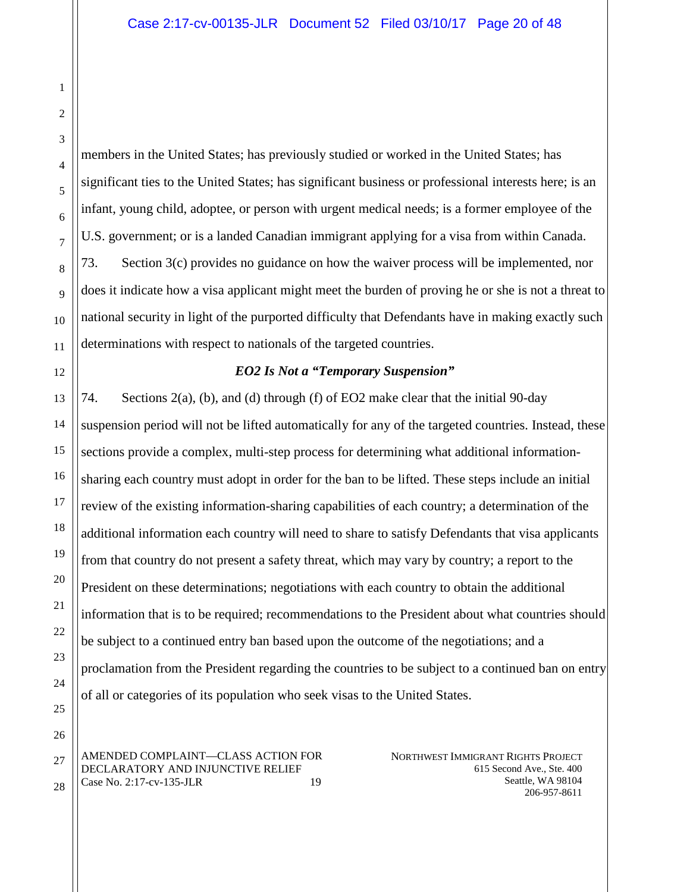members in the United States; has previously studied or worked in the United States; has significant ties to the United States; has significant business or professional interests here; is an infant, young child, adoptee, or person with urgent medical needs; is a former employee of the U.S. government; or is a landed Canadian immigrant applying for a visa from within Canada. 73. Section 3(c) provides no guidance on how the waiver process will be implemented, nor does it indicate how a visa applicant might meet the burden of proving he or she is not a threat to national security in light of the purported difficulty that Defendants have in making exactly such determinations with respect to nationals of the targeted countries.

### *EO2 Is Not a "Temporary Suspension"*

74. Sections 2(a), (b), and (d) through (f) of EO2 make clear that the initial 90-day suspension period will not be lifted automatically for any of the targeted countries. Instead, these sections provide a complex, multi-step process for determining what additional informationsharing each country must adopt in order for the ban to be lifted. These steps include an initial review of the existing information-sharing capabilities of each country; a determination of the additional information each country will need to share to satisfy Defendants that visa applicants from that country do not present a safety threat, which may vary by country; a report to the President on these determinations; negotiations with each country to obtain the additional information that is to be required; recommendations to the President about what countries should be subject to a continued entry ban based upon the outcome of the negotiations; and a proclamation from the President regarding the countries to be subject to a continued ban on entry of all or categories of its population who seek visas to the United States.

AMENDED COMPLAINT—CLASS ACTION FOR DECLARATORY AND INJUNCTIVE RELIEF Case No. 2:17-cv-135-JLR 19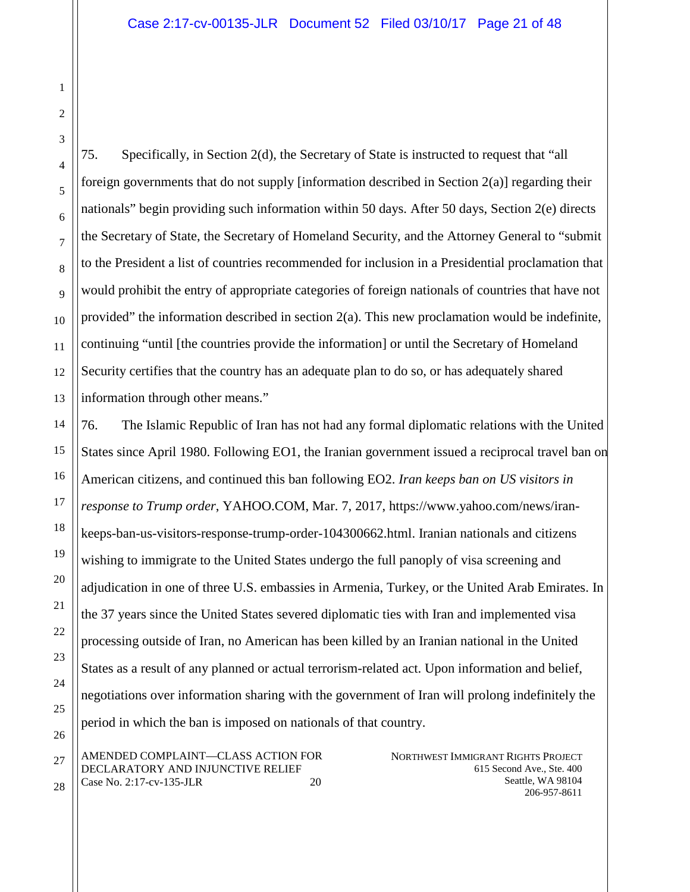28

75. Specifically, in Section 2(d), the Secretary of State is instructed to request that "all foreign governments that do not supply [information described in Section 2(a)] regarding their nationals" begin providing such information within 50 days. After 50 days, Section 2(e) directs the Secretary of State, the Secretary of Homeland Security, and the Attorney General to "submit to the President a list of countries recommended for inclusion in a Presidential proclamation that would prohibit the entry of appropriate categories of foreign nationals of countries that have not provided" the information described in section  $2(a)$ . This new proclamation would be indefinite, continuing "until [the countries provide the information] or until the Secretary of Homeland Security certifies that the country has an adequate plan to do so, or has adequately shared information through other means."

76. The Islamic Republic of Iran has not had any formal diplomatic relations with the United States since April 1980. Following EO1, the Iranian government issued a reciprocal travel ban on American citizens, and continued this ban following EO2. *Iran keeps ban on US visitors in response to Trump order*, YAHOO.COM, Mar. 7, 2017, https://www.yahoo.com/news/irankeeps-ban-us-visitors-response-trump-order-104300662.html. Iranian nationals and citizens wishing to immigrate to the United States undergo the full panoply of visa screening and adjudication in one of three U.S. embassies in Armenia, Turkey, or the United Arab Emirates. In the 37 years since the United States severed diplomatic ties with Iran and implemented visa processing outside of Iran, no American has been killed by an Iranian national in the United States as a result of any planned or actual terrorism-related act. Upon information and belief, negotiations over information sharing with the government of Iran will prolong indefinitely the period in which the ban is imposed on nationals of that country.

AMENDED COMPLAINT—CLASS ACTION FOR DECLARATORY AND INJUNCTIVE RELIEF Case No. 2:17-cv-135-JLR 20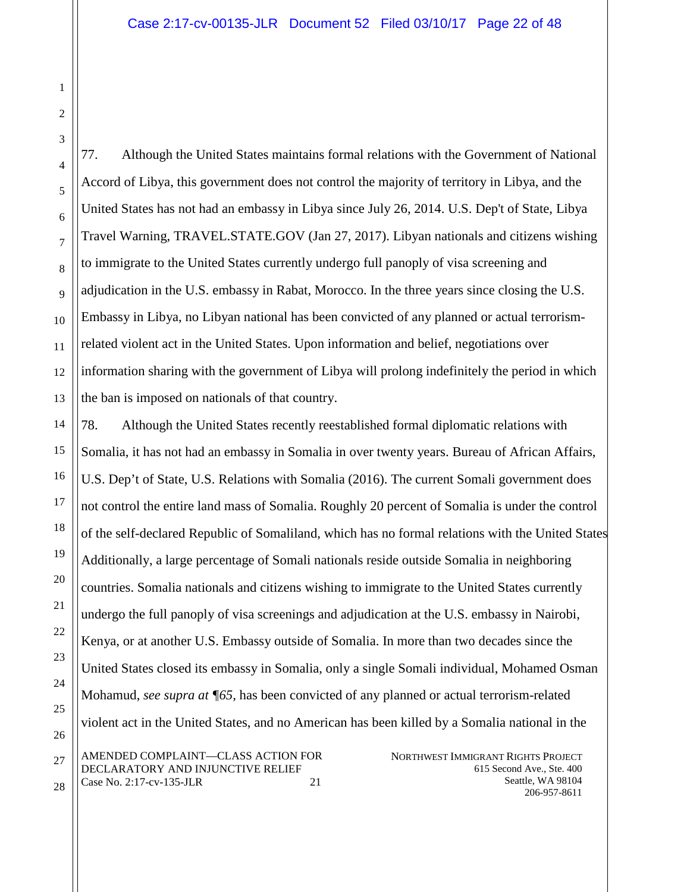28

77. Although the United States maintains formal relations with the Government of National Accord of Libya, this government does not control the majority of territory in Libya, and the United States has not had an embassy in Libya since July 26, 2014. U.S. Dep't of State, Libya Travel Warning, TRAVEL.STATE.GOV (Jan 27, 2017). Libyan nationals and citizens wishing to immigrate to the United States currently undergo full panoply of visa screening and adjudication in the U.S. embassy in Rabat, Morocco. In the three years since closing the U.S. Embassy in Libya, no Libyan national has been convicted of any planned or actual terrorismrelated violent act in the United States. Upon information and belief, negotiations over information sharing with the government of Libya will prolong indefinitely the period in which the ban is imposed on nationals of that country.

NORTHWEST IMMIGRANT RIGHTS PROJECT 615 Second Ave., Ste. 400 AMENDED COMPLAINT—CLASS ACTION FOR DECLARATORY AND INJUNCTIVE RELIEF 78. Although the United States recently reestablished formal diplomatic relations with Somalia, it has not had an embassy in Somalia in over twenty years. Bureau of African Affairs, U.S. Dep't of State, U.S. Relations with Somalia (2016). The current Somali government does not control the entire land mass of Somalia. Roughly 20 percent of Somalia is under the control of the self-declared Republic of Somaliland, which has no formal relations with the United States Additionally, a large percentage of Somali nationals reside outside Somalia in neighboring countries. Somalia nationals and citizens wishing to immigrate to the United States currently undergo the full panoply of visa screenings and adjudication at the U.S. embassy in Nairobi, Kenya, or at another U.S. Embassy outside of Somalia. In more than two decades since the United States closed its embassy in Somalia, only a single Somali individual, Mohamed Osman Mohamud, *see supra at ¶65*, has been convicted of any planned or actual terrorism-related violent act in the United States, and no American has been killed by a Somalia national in the

Seattle, WA 98104 206-957-8611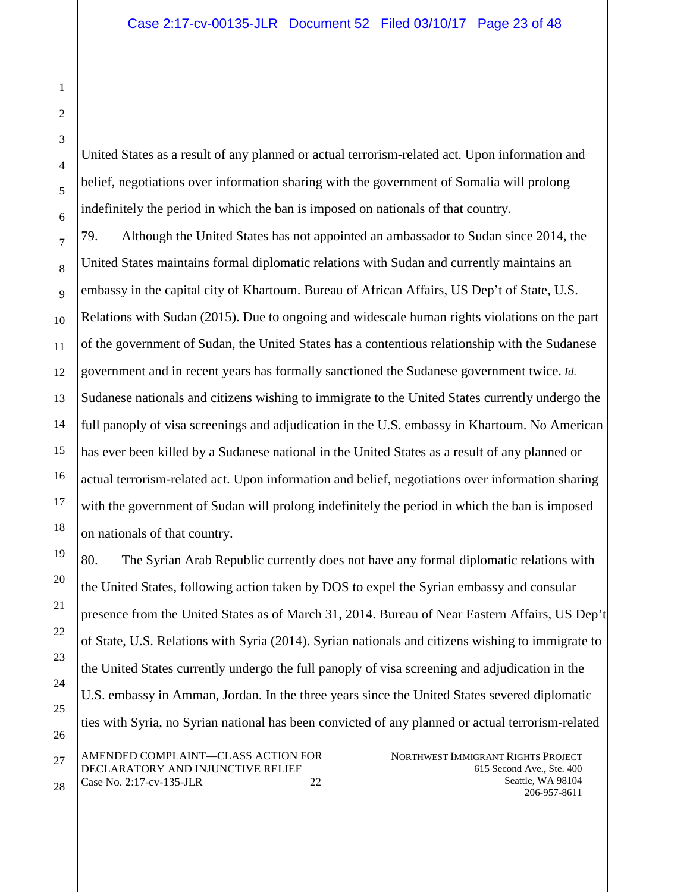United States as a result of any planned or actual terrorism-related act. Upon information and belief, negotiations over information sharing with the government of Somalia will prolong indefinitely the period in which the ban is imposed on nationals of that country.

79. Although the United States has not appointed an ambassador to Sudan since 2014, the United States maintains formal diplomatic relations with Sudan and currently maintains an embassy in the capital city of Khartoum. Bureau of African Affairs, US Dep't of State, U.S. Relations with Sudan (2015). Due to ongoing and widescale human rights violations on the part of the government of Sudan, the United States has a contentious relationship with the Sudanese government and in recent years has formally sanctioned the Sudanese government twice. *Id.* Sudanese nationals and citizens wishing to immigrate to the United States currently undergo the full panoply of visa screenings and adjudication in the U.S. embassy in Khartoum. No American has ever been killed by a Sudanese national in the United States as a result of any planned or actual terrorism-related act. Upon information and belief, negotiations over information sharing with the government of Sudan will prolong indefinitely the period in which the ban is imposed on nationals of that country.

NORTHWEST IMMIGRANT RIGHTS PROJECT 615 Second Ave., Ste. 400 Seattle, WA 98104 AMENDED COMPLAINT—CLASS ACTION FOR DECLARATORY AND INJUNCTIVE RELIEF Case No. 2:17-cv-135-JLR 22 80. The Syrian Arab Republic currently does not have any formal diplomatic relations with the United States, following action taken by DOS to expel the Syrian embassy and consular presence from the United States as of March 31, 2014. Bureau of Near Eastern Affairs, US Dep't of State, U.S. Relations with Syria (2014). Syrian nationals and citizens wishing to immigrate to the United States currently undergo the full panoply of visa screening and adjudication in the U.S. embassy in Amman, Jordan. In the three years since the United States severed diplomatic ties with Syria, no Syrian national has been convicted of any planned or actual terrorism-related

206-957-8611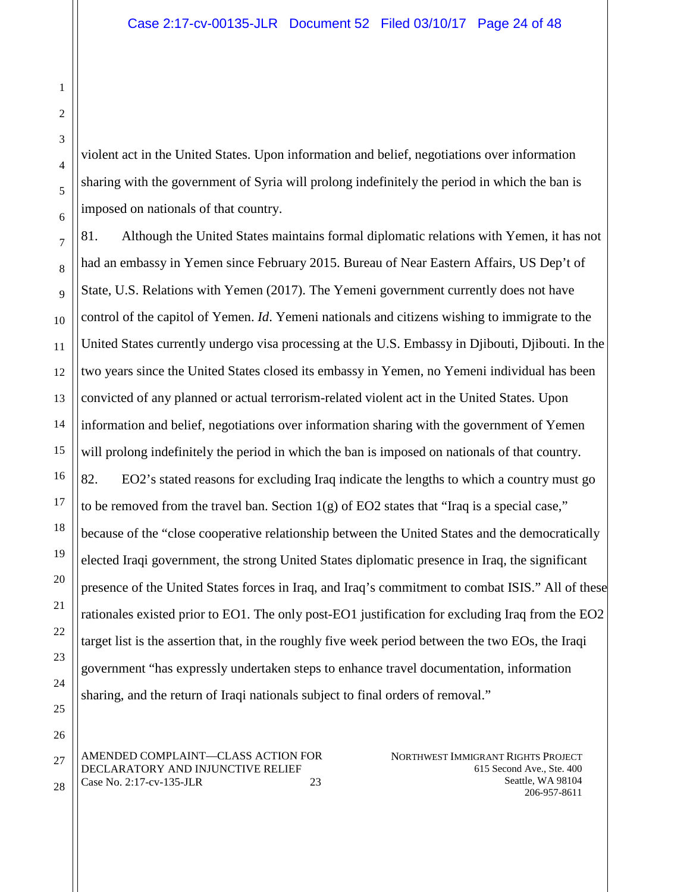violent act in the United States. Upon information and belief, negotiations over information sharing with the government of Syria will prolong indefinitely the period in which the ban is imposed on nationals of that country.

81. Although the United States maintains formal diplomatic relations with Yemen, it has not had an embassy in Yemen since February 2015. Bureau of Near Eastern Affairs, US Dep't of State, U.S. Relations with Yemen (2017). The Yemeni government currently does not have control of the capitol of Yemen. *Id*. Yemeni nationals and citizens wishing to immigrate to the United States currently undergo visa processing at the U.S. Embassy in Djibouti, Djibouti. In the two years since the United States closed its embassy in Yemen, no Yemeni individual has been convicted of any planned or actual terrorism-related violent act in the United States. Upon information and belief, negotiations over information sharing with the government of Yemen will prolong indefinitely the period in which the ban is imposed on nationals of that country. 82. EO2's stated reasons for excluding Iraq indicate the lengths to which a country must go to be removed from the travel ban. Section  $1(g)$  of EO2 states that "Iraq is a special case," because of the "close cooperative relationship between the United States and the democratically elected Iraqi government, the strong United States diplomatic presence in Iraq, the significant presence of the United States forces in Iraq, and Iraq's commitment to combat ISIS." All of these rationales existed prior to EO1. The only post-EO1 justification for excluding Iraq from the EO2 target list is the assertion that, in the roughly five week period between the two EOs, the Iraqi government "has expressly undertaken steps to enhance travel documentation, information sharing, and the return of Iraqi nationals subject to final orders of removal."

AMENDED COMPLAINT—CLASS ACTION FOR DECLARATORY AND INJUNCTIVE RELIEF Case No. 2:17-cv-135-JLR 23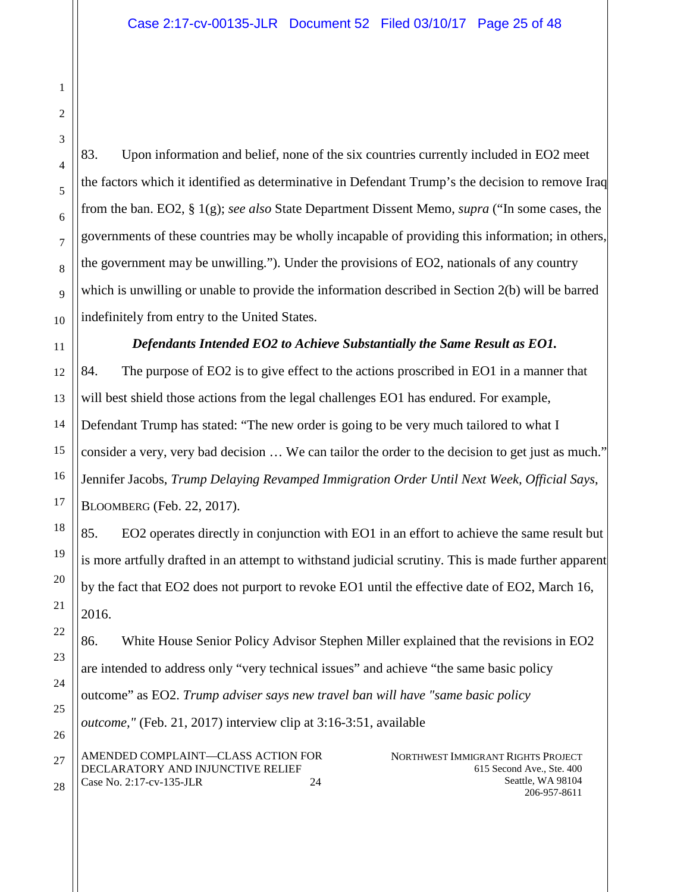2 3

4

1

83. Upon information and belief, none of the six countries currently included in EO2 meet the factors which it identified as determinative in Defendant Trump's the decision to remove Iraq from the ban. EO2, § 1(g); *see also* State Department Dissent Memo, *supra* ("In some cases, the governments of these countries may be wholly incapable of providing this information; in others, the government may be unwilling."). Under the provisions of EO2, nationals of any country which is unwilling or unable to provide the information described in Section 2(b) will be barred indefinitely from entry to the United States.

# *Defendants Intended EO2 to Achieve Substantially the Same Result as EO1.*

84. The purpose of EO2 is to give effect to the actions proscribed in EO1 in a manner that will best shield those actions from the legal challenges EO1 has endured. For example, Defendant Trump has stated: "The new order is going to be very much tailored to what I consider a very, very bad decision … We can tailor the order to the decision to get just as much." Jennifer Jacobs, *Trump Delaying Revamped Immigration Order Until Next Week, Official Says*, BLOOMBERG (Feb. 22, 2017).

85. EO2 operates directly in conjunction with EO1 in an effort to achieve the same result but is more artfully drafted in an attempt to withstand judicial scrutiny. This is made further apparent by the fact that EO2 does not purport to revoke EO1 until the effective date of EO2, March 16, 2016.

86. White House Senior Policy Advisor Stephen Miller explained that the revisions in EO2 are intended to address only "very technical issues" and achieve "the same basic policy outcome" as EO2. *Trump adviser says new travel ban will have "same basic policy outcome,"* (Feb. 21, 2017) interview clip at 3:16-3:51, available

AMENDED COMPLAINT—CLASS ACTION FOR DECLARATORY AND INJUNCTIVE RELIEF Case No. 2:17-cv-135-JLR 24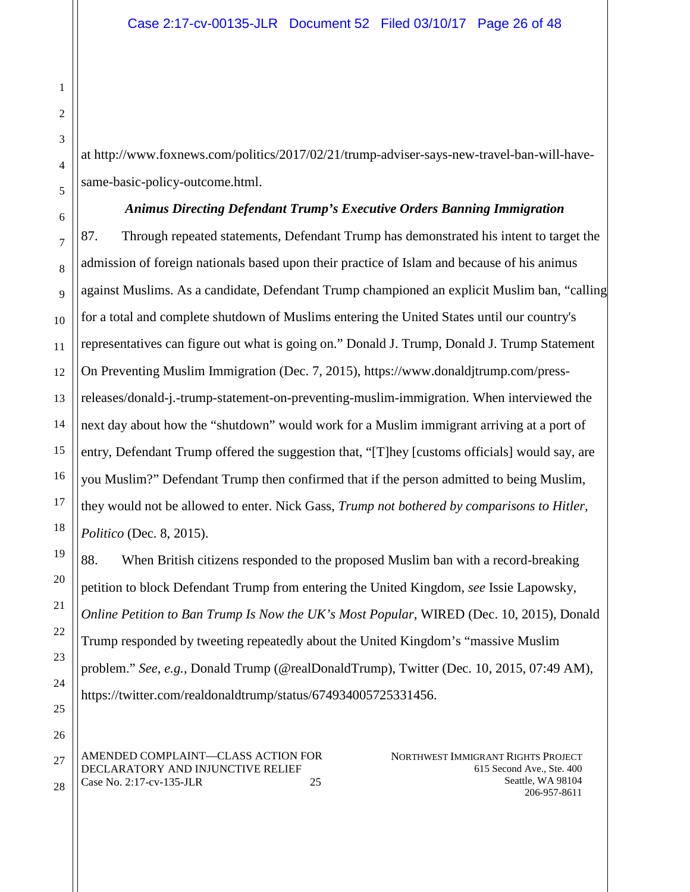at http://www.foxnews.com/politics/2017/02/21/trump-adviser-says-new-travel-ban-will-havesame-basic-policy-outcome.html.

#### *Animus Directing Defendant Trump's Executive Orders Banning Immigration*

87. Through repeated statements, Defendant Trump has demonstrated his intent to target the admission of foreign nationals based upon their practice of Islam and because of his animus against Muslims. As a candidate, Defendant Trump championed an explicit Muslim ban, "calling for a total and complete shutdown of Muslims entering the United States until our country's representatives can figure out what is going on." Donald J. Trump, Donald J. Trump Statement On Preventing Muslim Immigration (Dec. 7, 2015), https://www.donaldjtrump.com/pressreleases/donald-j.-trump-statement-on-preventing-muslim-immigration. When interviewed the next day about how the "shutdown" would work for a Muslim immigrant arriving at a port of entry, Defendant Trump offered the suggestion that, "[T]hey [customs officials] would say, are you Muslim?" Defendant Trump then confirmed that if the person admitted to being Muslim, they would not be allowed to enter. Nick Gass, *Trump not bothered by comparisons to Hitler, Politico* (Dec. 8, 2015).

88. When British citizens responded to the proposed Muslim ban with a record-breaking petition to block Defendant Trump from entering the United Kingdom, *see* Issie Lapowsky, *Online Petition to Ban Trump Is Now the UK's Most Popular*, WIRED (Dec. 10, 2015), Donald Trump responded by tweeting repeatedly about the United Kingdom's "massive Muslim problem." *See, e.g.*, Donald Trump (@realDonaldTrump), Twitter (Dec. 10, 2015, 07:49 AM), https://twitter.com/realdonaldtrump/status/674934005725331456.

AMENDED COMPLAINT—CLASS ACTION FOR DECLARATORY AND INJUNCTIVE RELIEF Case No. 2:17-cv-135-JLR 25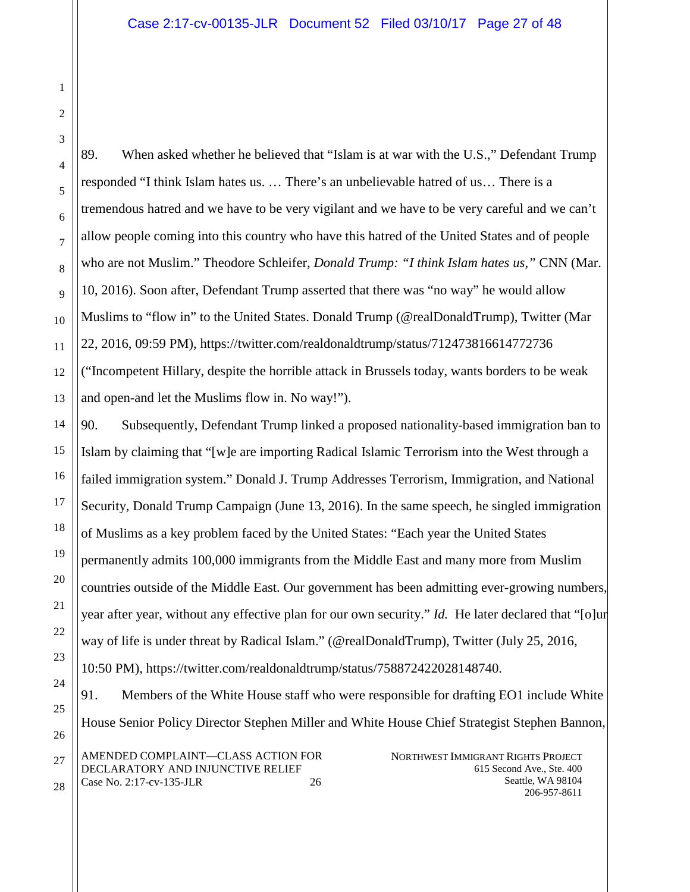3

1

2

4

5

6

7

8

9

10

11

12

13

14

15

16

17

18

19

20

21

22

23

24

25

26

27

28

89. When asked whether he believed that "Islam is at war with the U.S.," Defendant Trump responded "I think Islam hates us. … There's an unbelievable hatred of us… There is a tremendous hatred and we have to be very vigilant and we have to be very careful and we can't allow people coming into this country who have this hatred of the United States and of people who are not Muslim." Theodore Schleifer, *Donald Trump: "I think Islam hates us,"* CNN (Mar. 10, 2016). Soon after, Defendant Trump asserted that there was "no way" he would allow Muslims to "flow in" to the United States. Donald Trump (@realDonaldTrump), Twitter (Mar 22, 2016, 09:59 PM), https://twitter.com/realdonaldtrump/status/712473816614772736 ("Incompetent Hillary, despite the horrible attack in Brussels today, wants borders to be weak and open-and let the Muslims flow in. No way!").

90. Subsequently, Defendant Trump linked a proposed nationality-based immigration ban to Islam by claiming that "[w]e are importing Radical Islamic Terrorism into the West through a failed immigration system." Donald J. Trump Addresses Terrorism, Immigration, and National Security, Donald Trump Campaign (June 13, 2016). In the same speech, he singled immigration of Muslims as a key problem faced by the United States: "Each year the United States permanently admits 100,000 immigrants from the Middle East and many more from Muslim countries outside of the Middle East. Our government has been admitting ever-growing numbers, year after year, without any effective plan for our own security." *Id.* He later declared that "[o]ur way of life is under threat by Radical Islam." (@realDonaldTrump), Twitter (July 25, 2016, 10:50 PM), https://twitter.com/realdonaldtrump/status/758872422028148740.

NORTHWEST IMMIGRANT RIGHTS PROJECT 615 Second Ave., Ste. 400 Seattle, WA 98104 AMENDED COMPLAINT—CLASS ACTION FOR DECLARATORY AND INJUNCTIVE RELIEF Case No. 2:17-cv-135-JLR 26 91. Members of the White House staff who were responsible for drafting EO1 include White House Senior Policy Director Stephen Miller and White House Chief Strategist Stephen Bannon,

206-957-8611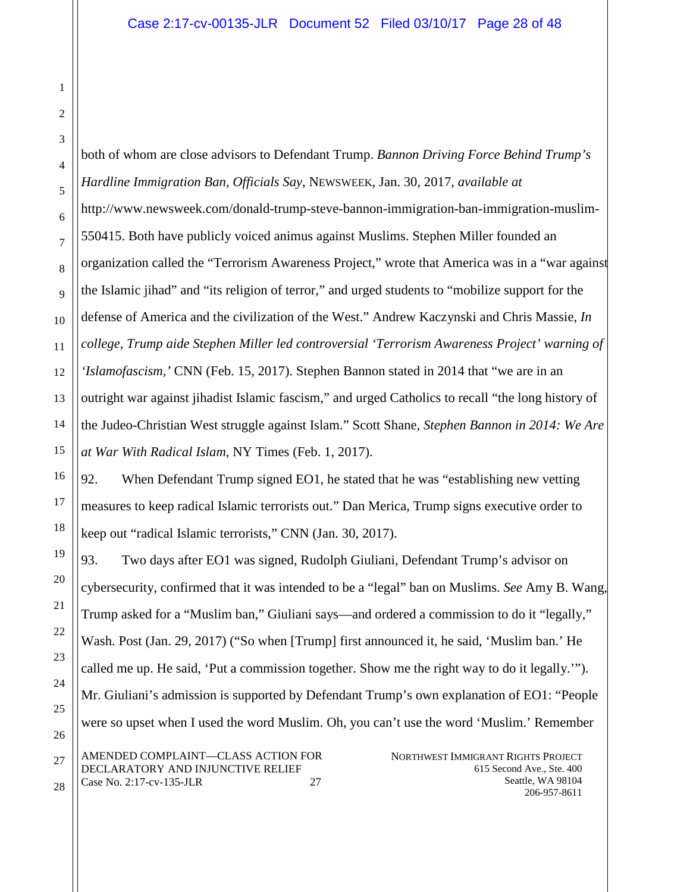both of whom are close advisors to Defendant Trump. *Bannon Driving Force Behind Trump's Hardline Immigration Ban, Officials Say*, NEWSWEEK, Jan. 30, 2017, *available at* http://www.newsweek.com/donald-trump-steve-bannon-immigration-ban-immigration-muslim-550415. Both have publicly voiced animus against Muslims. Stephen Miller founded an organization called the "Terrorism Awareness Project," wrote that America was in a "war against the Islamic jihad" and "its religion of terror," and urged students to "mobilize support for the defense of America and the civilization of the West." Andrew Kaczynski and Chris Massie, *In college, Trump aide Stephen Miller led controversial 'Terrorism Awareness Project' warning of 'Islamofascism,'* CNN (Feb. 15, 2017). Stephen Bannon stated in 2014 that "we are in an outright war against jihadist Islamic fascism," and urged Catholics to recall "the long history of the Judeo-Christian West struggle against Islam." Scott Shane, *Stephen Bannon in 2014: We Are at War With Radical Islam*, NY Times (Feb. 1, 2017).

92. When Defendant Trump signed EO1, he stated that he was "establishing new vetting measures to keep radical Islamic terrorists out." Dan Merica, Trump signs executive order to keep out "radical Islamic terrorists," CNN (Jan. 30, 2017).

NORTHWEST IMMIGRANT RIGHTS PROJECT AMENDED COMPLAINT—CLASS ACTION FOR DECLARATORY AND INJUNCTIVE RELIEF 93. Two days after EO1 was signed, Rudolph Giuliani, Defendant Trump's advisor on cybersecurity, confirmed that it was intended to be a "legal" ban on Muslims. *See* Amy B. Wang, Trump asked for a "Muslim ban," Giuliani says—and ordered a commission to do it "legally," Wash. Post (Jan. 29, 2017) ("So when [Trump] first announced it, he said, 'Muslim ban.' He called me up. He said, 'Put a commission together. Show me the right way to do it legally.'"). Mr. Giuliani's admission is supported by Defendant Trump's own explanation of EO1: "People were so upset when I used the word Muslim. Oh, you can't use the word 'Muslim.' Remember

Case No. 2:17-cv-135-JLR 27

615 Second Ave., Ste. 400 Seattle, WA 98104 206-957-8611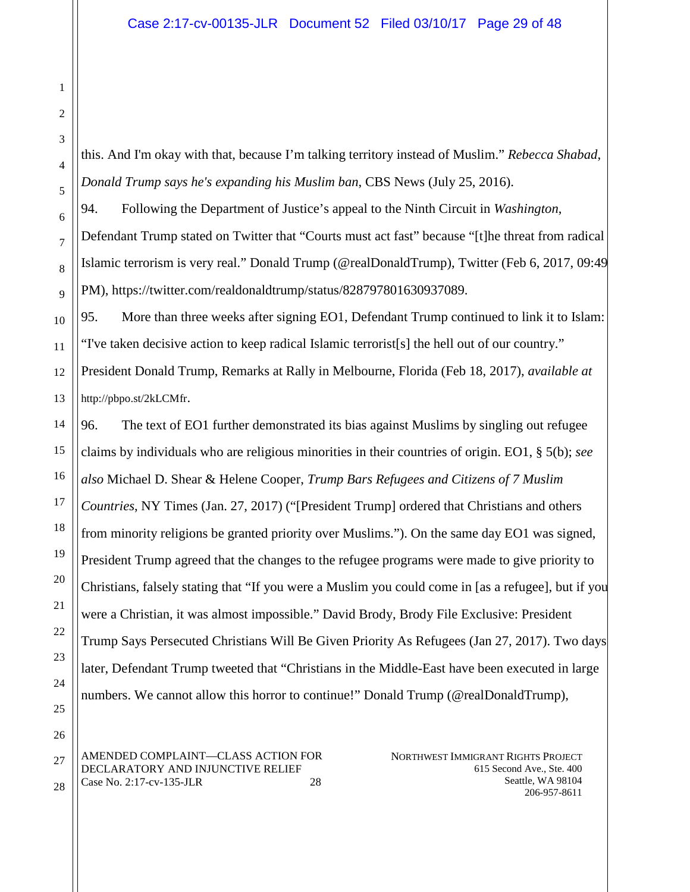this. And I'm okay with that, because I'm talking territory instead of Muslim." *Rebecca Shabad*, *Donald Trump says he's expanding his Muslim ban*, CBS News (July 25, 2016).

94. Following the Department of Justice's appeal to the Ninth Circuit in *Washington*, Defendant Trump stated on Twitter that "Courts must act fast" because "[t]he threat from radical Islamic terrorism is very real." Donald Trump (@realDonaldTrump), Twitter (Feb 6, 2017, 09:49 PM), https://twitter.com/realdonaldtrump/status/828797801630937089.

95. More than three weeks after signing EO1, Defendant Trump continued to link it to Islam: "I've taken decisive action to keep radical Islamic terrorist[s] the hell out of our country."

President Donald Trump, Remarks at Rally in Melbourne, Florida (Feb 18, 2017), *available at* http://pbpo.st/2kLCMfr.

96. The text of EO1 further demonstrated its bias against Muslims by singling out refugee claims by individuals who are religious minorities in their countries of origin. EO1, § 5(b); *see also* Michael D. Shear & Helene Cooper, *Trump Bars Refugees and Citizens of 7 Muslim Countries*, NY Times (Jan. 27, 2017) ("[President Trump] ordered that Christians and others from minority religions be granted priority over Muslims."). On the same day EO1 was signed, President Trump agreed that the changes to the refugee programs were made to give priority to Christians, falsely stating that "If you were a Muslim you could come in [as a refugee], but if you were a Christian, it was almost impossible." David Brody, Brody File Exclusive: President Trump Says Persecuted Christians Will Be Given Priority As Refugees (Jan 27, 2017). Two days later, Defendant Trump tweeted that "Christians in the Middle-East have been executed in large numbers. We cannot allow this horror to continue!" Donald Trump (@realDonaldTrump),

AMENDED COMPLAINT—CLASS ACTION FOR DECLARATORY AND INJUNCTIVE RELIEF Case No. 2:17-cv-135-JLR 28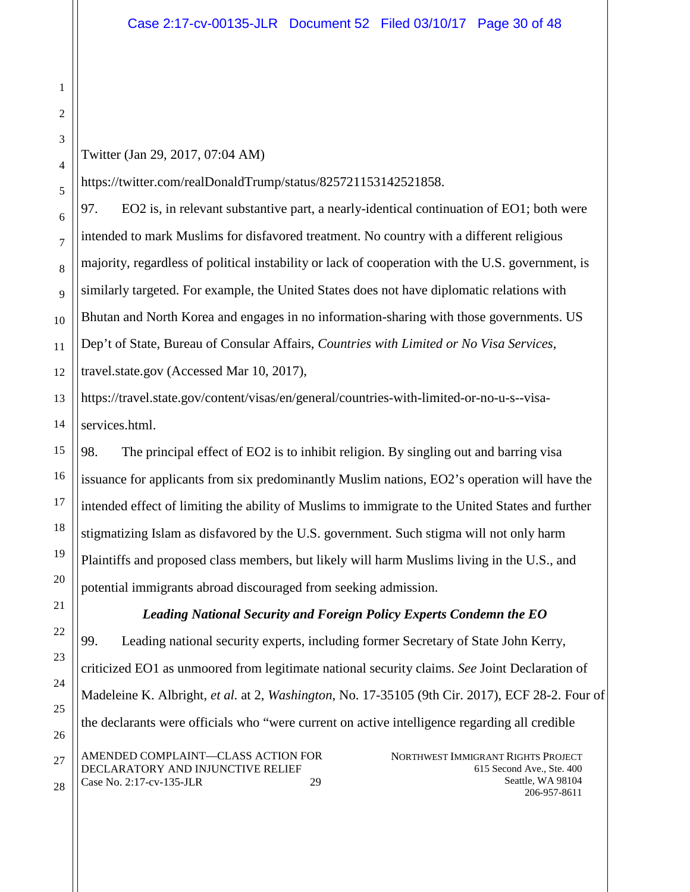Twitter (Jan 29, 2017, 07:04 AM)

Case No. 2:17-cv-135-JLR 29

https://twitter.com/realDonaldTrump/status/825721153142521858.

97. EO2 is, in relevant substantive part, a nearly-identical continuation of EO1; both were intended to mark Muslims for disfavored treatment. No country with a different religious majority, regardless of political instability or lack of cooperation with the U.S. government, is similarly targeted. For example, the United States does not have diplomatic relations with Bhutan and North Korea and engages in no information-sharing with those governments. US Dep't of State, Bureau of Consular Affairs, *Countries with Limited or No Visa Services*, travel.state.gov (Accessed Mar 10, 2017),

13 14 https://travel.state.gov/content/visas/en/general/countries-with-limited-or-no-u-s--visaservices.html.

98. The principal effect of EO2 is to inhibit religion. By singling out and barring visa issuance for applicants from six predominantly Muslim nations, EO2's operation will have the intended effect of limiting the ability of Muslims to immigrate to the United States and further stigmatizing Islam as disfavored by the U.S. government. Such stigma will not only harm Plaintiffs and proposed class members, but likely will harm Muslims living in the U.S., and potential immigrants abroad discouraged from seeking admission.

# *Leading National Security and Foreign Policy Experts Condemn the EO*

NORTHWEST IMMIGRANT RIGHTS PROJECT 615 Second Ave., Ste. 400 Seattle, WA 98104 AMENDED COMPLAINT—CLASS ACTION FOR DECLARATORY AND INJUNCTIVE RELIEF 99. Leading national security experts, including former Secretary of State John Kerry, criticized EO1 as unmoored from legitimate national security claims. *See* Joint Declaration of Madeleine K. Albright, *et al.* at 2, *Washington*, No. 17-35105 (9th Cir. 2017), ECF 28-2. Four of the declarants were officials who "were current on active intelligence regarding all credible

206-957-8611

1

2

3

4

5

6

7

8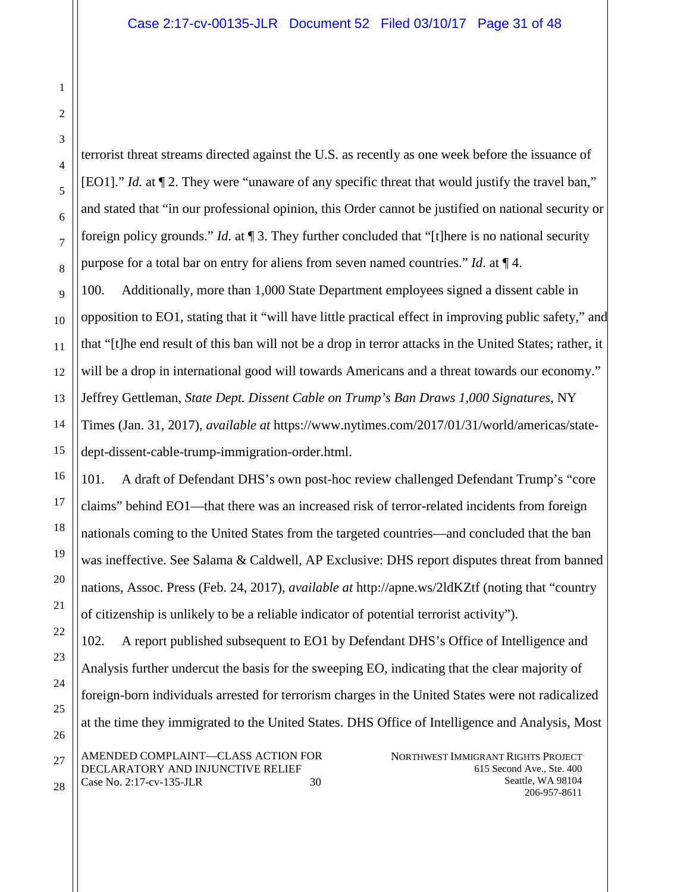terrorist threat streams directed against the U.S. as recently as one week before the issuance of [EO1]." *Id.* at ¶ 2. They were "unaware of any specific threat that would justify the travel ban," and stated that "in our professional opinion, this Order cannot be justified on national security or foreign policy grounds." *Id*. at ¶ 3. They further concluded that "[t]here is no national security purpose for a total bar on entry for aliens from seven named countries." *Id*. at ¶ 4.

100. Additionally, more than 1,000 State Department employees signed a dissent cable in opposition to EO1, stating that it "will have little practical effect in improving public safety," and that "[t]he end result of this ban will not be a drop in terror attacks in the United States; rather, it will be a drop in international good will towards Americans and a threat towards our economy." Jeffrey Gettleman, *State Dept. Dissent Cable on Trump's Ban Draws 1,000 Signatures*, NY Times (Jan. 31, 2017), *available at* https://www.nytimes.com/2017/01/31/world/americas/statedept-dissent-cable-trump-immigration-order.html.

101. A draft of Defendant DHS's own post-hoc review challenged Defendant Trump's "core claims" behind EO1—that there was an increased risk of terror-related incidents from foreign nationals coming to the United States from the targeted countries—and concluded that the ban was ineffective. See Salama & Caldwell, AP Exclusive: DHS report disputes threat from banned nations, Assoc. Press (Feb. 24, 2017), *available at* http://apne.ws/2ldKZtf (noting that "country of citizenship is unlikely to be a reliable indicator of potential terrorist activity").

NORTHWEST IMMIGRANT RIGHTS PROJECT AMENDED COMPLAINT—CLASS ACTION FOR 102. A report published subsequent to EO1 by Defendant DHS's Office of Intelligence and Analysis further undercut the basis for the sweeping EO, indicating that the clear majority of foreign-born individuals arrested for terrorism charges in the United States were not radicalized at the time they immigrated to the United States. DHS Office of Intelligence and Analysis, Most

DECLARATORY AND INJUNCTIVE RELIEF Case No. 2:17-cv-135-JLR 30 615 Second Ave., Ste. 400 Seattle, WA 98104 206-957-8611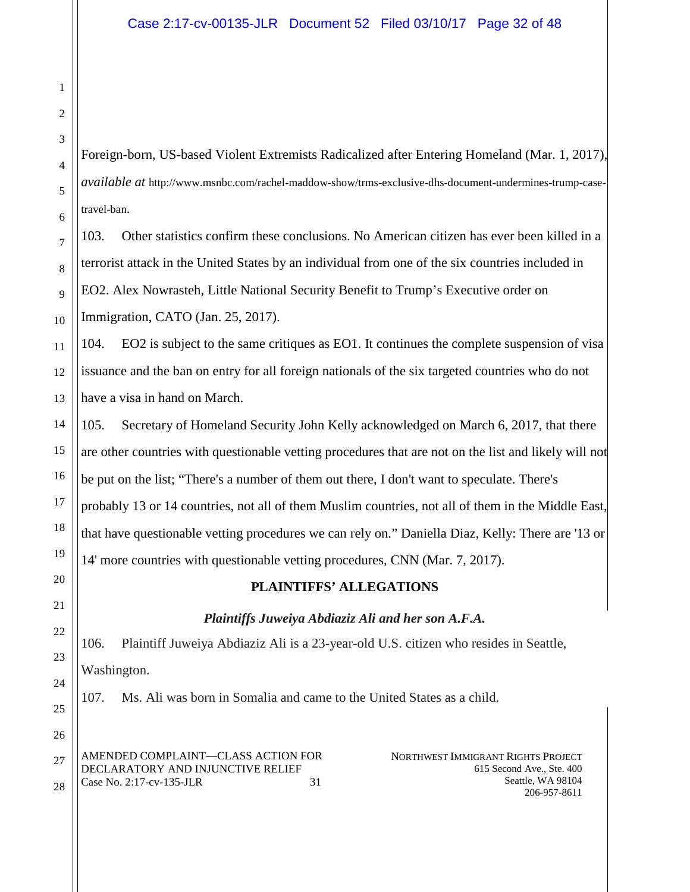Foreign-born, US-based Violent Extremists Radicalized after Entering Homeland (Mar. 1, 2017), *available at* http://www.msnbc.com/rachel-maddow-show/trms-exclusive-dhs-document-undermines-trump-casetravel-ban.

103. Other statistics confirm these conclusions. No American citizen has ever been killed in a terrorist attack in the United States by an individual from one of the six countries included in EO2. Alex Nowrasteh, Little National Security Benefit to Trump's Executive order on Immigration, CATO (Jan. 25, 2017).

104. EO2 is subject to the same critiques as EO1. It continues the complete suspension of visa issuance and the ban on entry for all foreign nationals of the six targeted countries who do not have a visa in hand on March.

105. Secretary of Homeland Security John Kelly acknowledged on March 6, 2017, that there are other countries with questionable vetting procedures that are not on the list and likely will not be put on the list; "There's a number of them out there, I don't want to speculate. There's probably 13 or 14 countries, not all of them Muslim countries, not all of them in the Middle East, that have questionable vetting procedures we can rely on." Daniella Diaz, Kelly: There are '13 or 14' more countries with questionable vetting procedures, CNN (Mar. 7, 2017).

# **PLAINTIFFS' ALLEGATIONS**

# *Plaintiffs Juweiya Abdiaziz Ali and her son A.F.A.*

106. Plaintiff Juweiya Abdiaziz Ali is a 23-year-old U.S. citizen who resides in Seattle, Washington.

107. Ms. Ali was born in Somalia and came to the United States as a child.

AMENDED COMPLAINT—CLASS ACTION FOR DECLARATORY AND INJUNCTIVE RELIEF Case No. 2:17-cv-135-JLR 31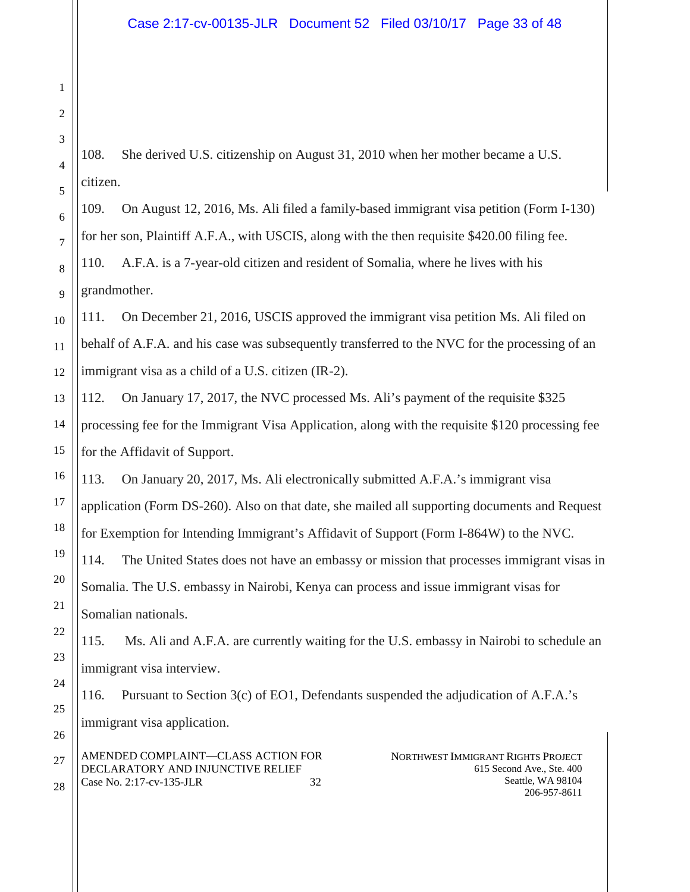108. She derived U.S. citizenship on August 31, 2010 when her mother became a U.S. citizen.

109. On August 12, 2016, Ms. Ali filed a family-based immigrant visa petition (Form I-130) for her son, Plaintiff A.F.A., with USCIS, along with the then requisite \$420.00 filing fee.

110. A.F.A. is a 7-year-old citizen and resident of Somalia, where he lives with his grandmother.

111. On December 21, 2016, USCIS approved the immigrant visa petition Ms. Ali filed on behalf of A.F.A. and his case was subsequently transferred to the NVC for the processing of an immigrant visa as a child of a U.S. citizen (IR-2).

112. On January 17, 2017, the NVC processed Ms. Ali's payment of the requisite \$325 processing fee for the Immigrant Visa Application, along with the requisite \$120 processing fee for the Affidavit of Support.

113. On January 20, 2017, Ms. Ali electronically submitted A.F.A.'s immigrant visa application (Form DS-260). Also on that date, she mailed all supporting documents and Request for Exemption for Intending Immigrant's Affidavit of Support (Form I-864W) to the NVC.

114. The United States does not have an embassy or mission that processes immigrant visas in Somalia. The U.S. embassy in Nairobi, Kenya can process and issue immigrant visas for Somalian nationals.

115. Ms. Ali and A.F.A. are currently waiting for the U.S. embassy in Nairobi to schedule an immigrant visa interview.

116. Pursuant to Section 3(c) of EO1, Defendants suspended the adjudication of A.F.A.'s immigrant visa application.

AMENDED COMPLAINT—CLASS ACTION FOR DECLARATORY AND INJUNCTIVE RELIEF Case No. 2:17-cv-135-JLR 32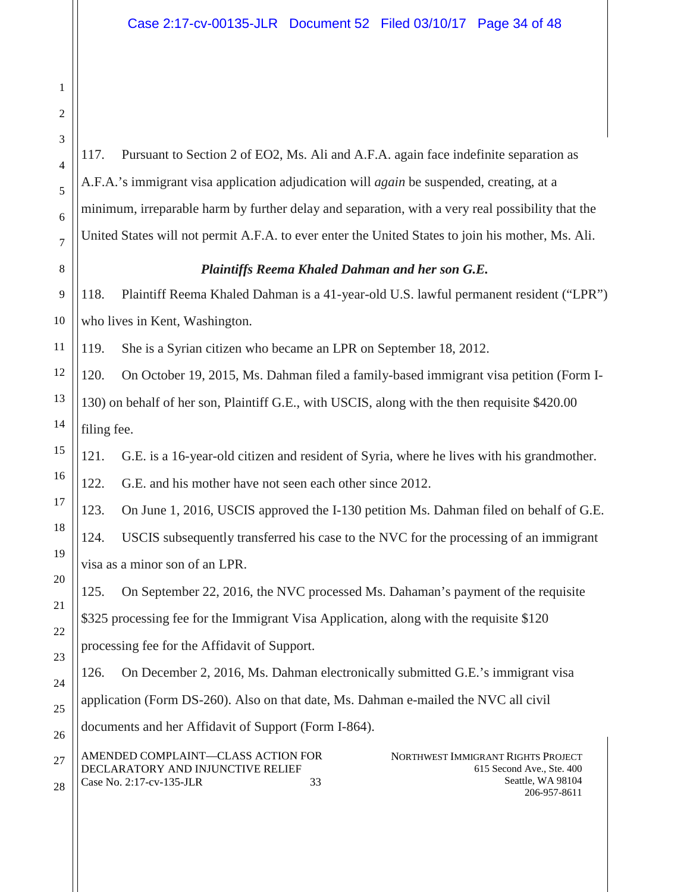117. Pursuant to Section 2 of EO2, Ms. Ali and A.F.A. again face indefinite separation as A.F.A.'s immigrant visa application adjudication will *again* be suspended, creating, at a minimum, irreparable harm by further delay and separation, with a very real possibility that the United States will not permit A.F.A. to ever enter the United States to join his mother, Ms. Ali.

## *Plaintiffs Reema Khaled Dahman and her son G.E.*

118. Plaintiff Reema Khaled Dahman is a 41-year-old U.S. lawful permanent resident ("LPR") who lives in Kent, Washington.

119. She is a Syrian citizen who became an LPR on September 18, 2012.

120. On October 19, 2015, Ms. Dahman filed a family-based immigrant visa petition (Form I-130) on behalf of her son, Plaintiff G.E., with USCIS, along with the then requisite \$420.00 filing fee.

121. G.E. is a 16-year-old citizen and resident of Syria, where he lives with his grandmother.

122. G.E. and his mother have not seen each other since 2012.

123. On June 1, 2016, USCIS approved the I-130 petition Ms. Dahman filed on behalf of G.E.

124. USCIS subsequently transferred his case to the NVC for the processing of an immigrant visa as a minor son of an LPR.

125. On September 22, 2016, the NVC processed Ms. Dahaman's payment of the requisite \$325 processing fee for the Immigrant Visa Application, along with the requisite \$120 processing fee for the Affidavit of Support.

126. On December 2, 2016, Ms. Dahman electronically submitted G.E.'s immigrant visa application (Form DS-260). Also on that date, Ms. Dahman e-mailed the NVC all civil documents and her Affidavit of Support (Form I-864).

AMENDED COMPLAINT—CLASS ACTION FOR DECLARATORY AND INJUNCTIVE RELIEF Case No. 2:17-cv-135-JLR 33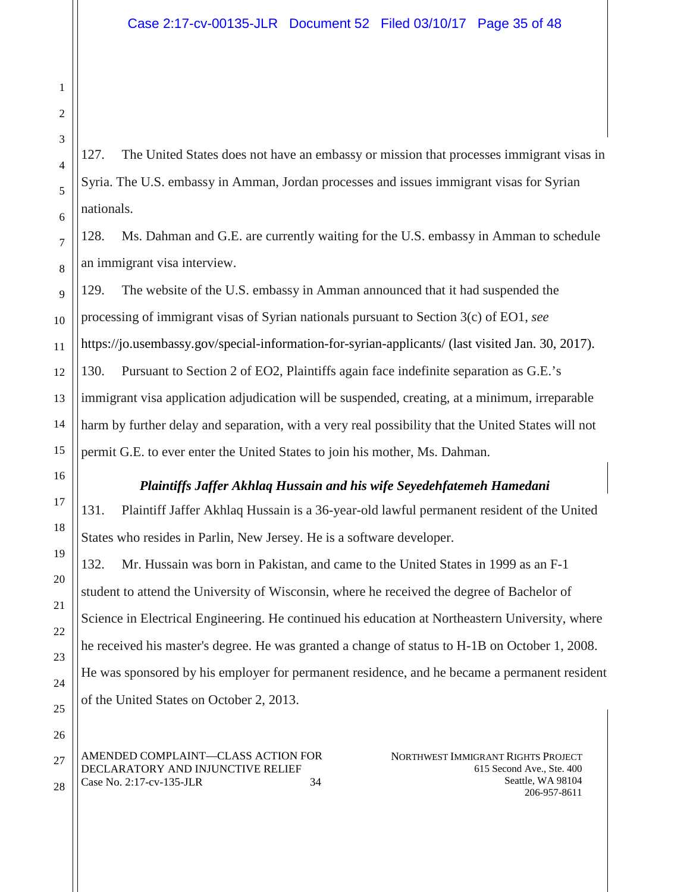127. The United States does not have an embassy or mission that processes immigrant visas in Syria. The U.S. embassy in Amman, Jordan processes and issues immigrant visas for Syrian nationals.

128. Ms. Dahman and G.E. are currently waiting for the U.S. embassy in Amman to schedule an immigrant visa interview.

129. The website of the U.S. embassy in Amman announced that it had suspended the processing of immigrant visas of Syrian nationals pursuant to Section 3(c) of EO1, *see* https://jo.usembassy.gov/special-information-for-syrian-applicants/ (last visited Jan. 30, 2017). 130. Pursuant to Section 2 of EO2, Plaintiffs again face indefinite separation as G.E.'s immigrant visa application adjudication will be suspended, creating, at a minimum, irreparable harm by further delay and separation, with a very real possibility that the United States will not permit G.E. to ever enter the United States to join his mother, Ms. Dahman.

# *Plaintiffs Jaffer Akhlaq Hussain and his wife Seyedehfatemeh Hamedani*

131. Plaintiff Jaffer Akhlaq Hussain is a 36-year-old lawful permanent resident of the United States who resides in Parlin, New Jersey. He is a software developer.

132. Mr. Hussain was born in Pakistan, and came to the United States in 1999 as an F-1 student to attend the University of Wisconsin, where he received the degree of Bachelor of Science in Electrical Engineering. He continued his education at Northeastern University, where he received his master's degree. He was granted a change of status to H-1B on October 1, 2008. He was sponsored by his employer for permanent residence, and he became a permanent resident of the United States on October 2, 2013.

AMENDED COMPLAINT—CLASS ACTION FOR DECLARATORY AND INJUNCTIVE RELIEF Case No. 2:17-cv-135-JLR 34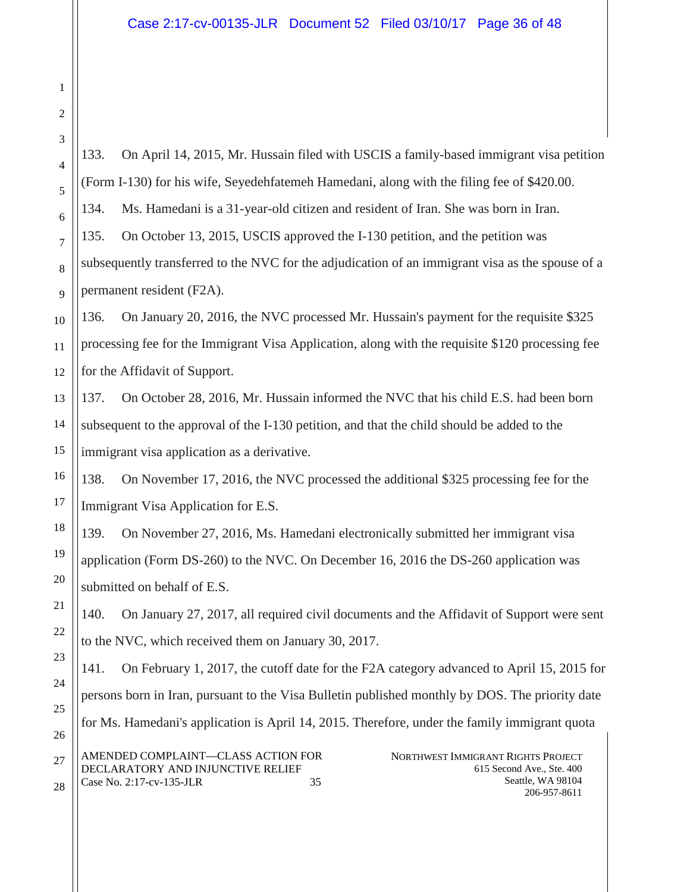NORTHWEST IMMIGRANT RIGHTS PROJECT 615 Second Ave., Ste. 400 Seattle, WA 98104 206-957-8611 AMENDED COMPLAINT—CLASS ACTION FOR DECLARATORY AND INJUNCTIVE RELIEF Case No. 2:17-cv-135-JLR 35 133. On April 14, 2015, Mr. Hussain filed with USCIS a family-based immigrant visa petition (Form I-130) for his wife, Seyedehfatemeh Hamedani, along with the filing fee of \$420.00. 134. Ms. Hamedani is a 31-year-old citizen and resident of Iran. She was born in Iran. 135. On October 13, 2015, USCIS approved the I-130 petition, and the petition was subsequently transferred to the NVC for the adjudication of an immigrant visa as the spouse of a permanent resident (F2A). 136. On January 20, 2016, the NVC processed Mr. Hussain's payment for the requisite \$325 processing fee for the Immigrant Visa Application, along with the requisite \$120 processing fee for the Affidavit of Support. 137. On October 28, 2016, Mr. Hussain informed the NVC that his child E.S. had been born subsequent to the approval of the I-130 petition, and that the child should be added to the immigrant visa application as a derivative. 138. On November 17, 2016, the NVC processed the additional \$325 processing fee for the Immigrant Visa Application for E.S. 139. On November 27, 2016, Ms. Hamedani electronically submitted her immigrant visa application (Form DS-260) to the NVC. On December 16, 2016 the DS-260 application was submitted on behalf of E.S. 140. On January 27, 2017, all required civil documents and the Affidavit of Support were sent to the NVC, which received them on January 30, 2017. 141. On February 1, 2017, the cutoff date for the F2A category advanced to April 15, 2015 for persons born in Iran, pursuant to the Visa Bulletin published monthly by DOS. The priority date for Ms. Hamedani's application is April 14, 2015. Therefore, under the family immigrant quota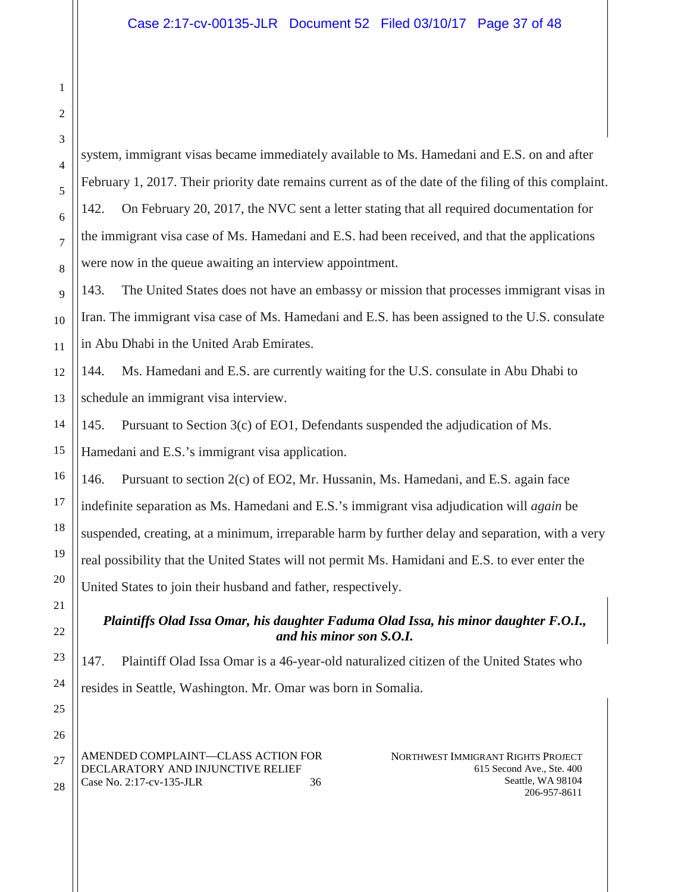system, immigrant visas became immediately available to Ms. Hamedani and E.S. on and after February 1, 2017. Their priority date remains current as of the date of the filing of this complaint. 142. On February 20, 2017, the NVC sent a letter stating that all required documentation for the immigrant visa case of Ms. Hamedani and E.S. had been received, and that the applications were now in the queue awaiting an interview appointment.

143. The United States does not have an embassy or mission that processes immigrant visas in Iran. The immigrant visa case of Ms. Hamedani and E.S. has been assigned to the U.S. consulate in Abu Dhabi in the United Arab Emirates.

144. Ms. Hamedani and E.S. are currently waiting for the U.S. consulate in Abu Dhabi to schedule an immigrant visa interview.

145. Pursuant to Section 3(c) of EO1, Defendants suspended the adjudication of Ms. Hamedani and E.S.'s immigrant visa application.

146. Pursuant to section 2(c) of EO2, Mr. Hussanin, Ms. Hamedani, and E.S. again face indefinite separation as Ms. Hamedani and E.S.'s immigrant visa adjudication will *again* be suspended, creating, at a minimum, irreparable harm by further delay and separation, with a very real possibility that the United States will not permit Ms. Hamidani and E.S. to ever enter the United States to join their husband and father, respectively.

# *Plaintiffs Olad Issa Omar, his daughter Faduma Olad Issa, his minor daughter F.O.I., and his minor son S.O.I.*

147. Plaintiff Olad Issa Omar is a 46-year-old naturalized citizen of the United States who resides in Seattle, Washington. Mr. Omar was born in Somalia.

AMENDED COMPLAINT—CLASS ACTION FOR DECLARATORY AND INJUNCTIVE RELIEF Case No. 2:17-cv-135-JLR 36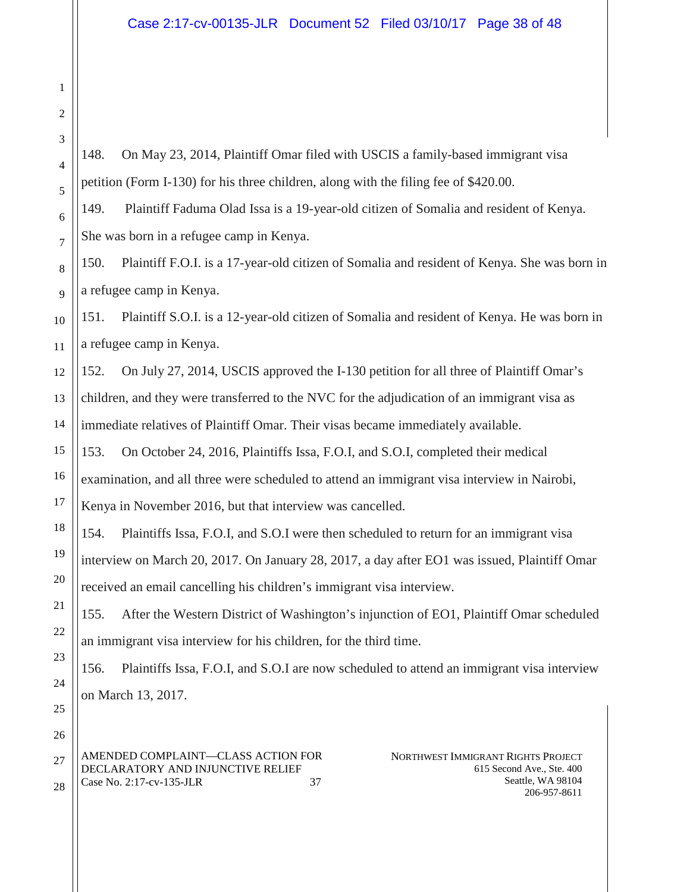148. On May 23, 2014, Plaintiff Omar filed with USCIS a family-based immigrant visa petition (Form I-130) for his three children, along with the filing fee of \$420.00.

149. Plaintiff Faduma Olad Issa is a 19-year-old citizen of Somalia and resident of Kenya. She was born in a refugee camp in Kenya.

150. Plaintiff F.O.I. is a 17-year-old citizen of Somalia and resident of Kenya. She was born in a refugee camp in Kenya.

151. Plaintiff S.O.I. is a 12-year-old citizen of Somalia and resident of Kenya. He was born in a refugee camp in Kenya.

152. On July 27, 2014, USCIS approved the I-130 petition for all three of Plaintiff Omar's children, and they were transferred to the NVC for the adjudication of an immigrant visa as immediate relatives of Plaintiff Omar. Their visas became immediately available.

153. On October 24, 2016, Plaintiffs Issa, F.O.I, and S.O.I, completed their medical examination, and all three were scheduled to attend an immigrant visa interview in Nairobi, Kenya in November 2016, but that interview was cancelled.

154. Plaintiffs Issa, F.O.I, and S.O.I were then scheduled to return for an immigrant visa interview on March 20, 2017. On January 28, 2017, a day after EO1 was issued, Plaintiff Omar received an email cancelling his children's immigrant visa interview.

155. After the Western District of Washington's injunction of EO1, Plaintiff Omar scheduled an immigrant visa interview for his children, for the third time.

156. Plaintiffs Issa, F.O.I, and S.O.I are now scheduled to attend an immigrant visa interview on March 13, 2017.

AMENDED COMPLAINT—CLASS ACTION FOR DECLARATORY AND INJUNCTIVE RELIEF Case No. 2:17-cv-135-JLR 37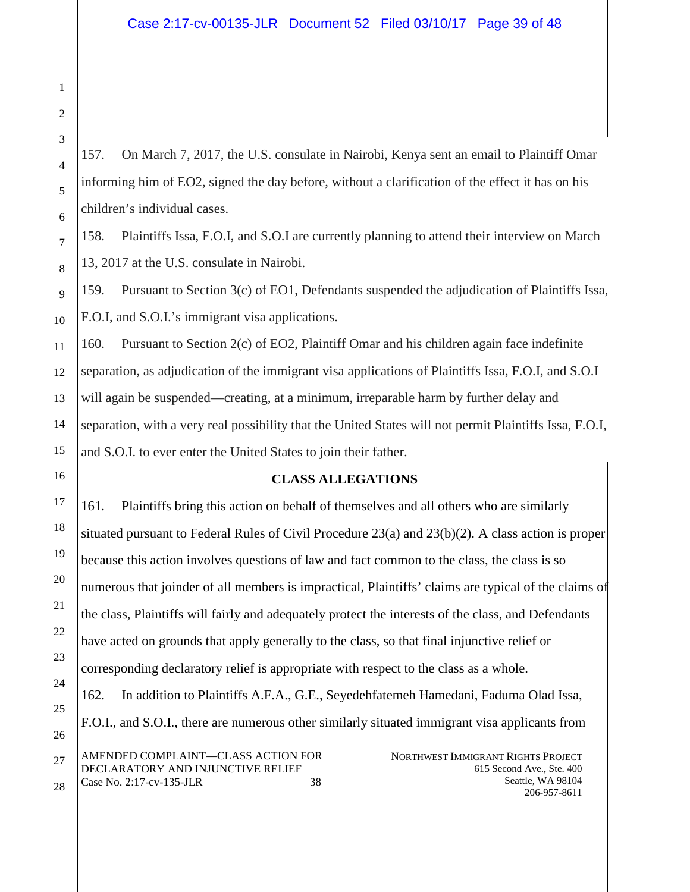157. On March 7, 2017, the U.S. consulate in Nairobi, Kenya sent an email to Plaintiff Omar informing him of EO2, signed the day before, without a clarification of the effect it has on his children's individual cases.

158. Plaintiffs Issa, F.O.I, and S.O.I are currently planning to attend their interview on March 13, 2017 at the U.S. consulate in Nairobi.

159. Pursuant to Section 3(c) of EO1, Defendants suspended the adjudication of Plaintiffs Issa, F.O.I, and S.O.I.'s immigrant visa applications.

160. Pursuant to Section 2(c) of EO2, Plaintiff Omar and his children again face indefinite separation, as adjudication of the immigrant visa applications of Plaintiffs Issa, F.O.I, and S.O.I will again be suspended—creating, at a minimum, irreparable harm by further delay and separation, with a very real possibility that the United States will not permit Plaintiffs Issa, F.O.I, and S.O.I. to ever enter the United States to join their father.

### **CLASS ALLEGATIONS**

NORTHWEST IMMIGRANT RIGHTS PROJECT 615 Second Ave., Ste. 400 Seattle, WA 98104 206-957-8611 AMENDED COMPLAINT—CLASS ACTION FOR DECLARATORY AND INJUNCTIVE RELIEF Case No. 2:17-cv-135-JLR 38 161. Plaintiffs bring this action on behalf of themselves and all others who are similarly situated pursuant to Federal Rules of Civil Procedure 23(a) and 23(b)(2). A class action is proper because this action involves questions of law and fact common to the class, the class is so numerous that joinder of all members is impractical, Plaintiffs' claims are typical of the claims of the class, Plaintiffs will fairly and adequately protect the interests of the class, and Defendants have acted on grounds that apply generally to the class, so that final injunctive relief or corresponding declaratory relief is appropriate with respect to the class as a whole. 162. In addition to Plaintiffs A.F.A., G.E., Seyedehfatemeh Hamedani, Faduma Olad Issa, F.O.I., and S.O.I., there are numerous other similarly situated immigrant visa applicants from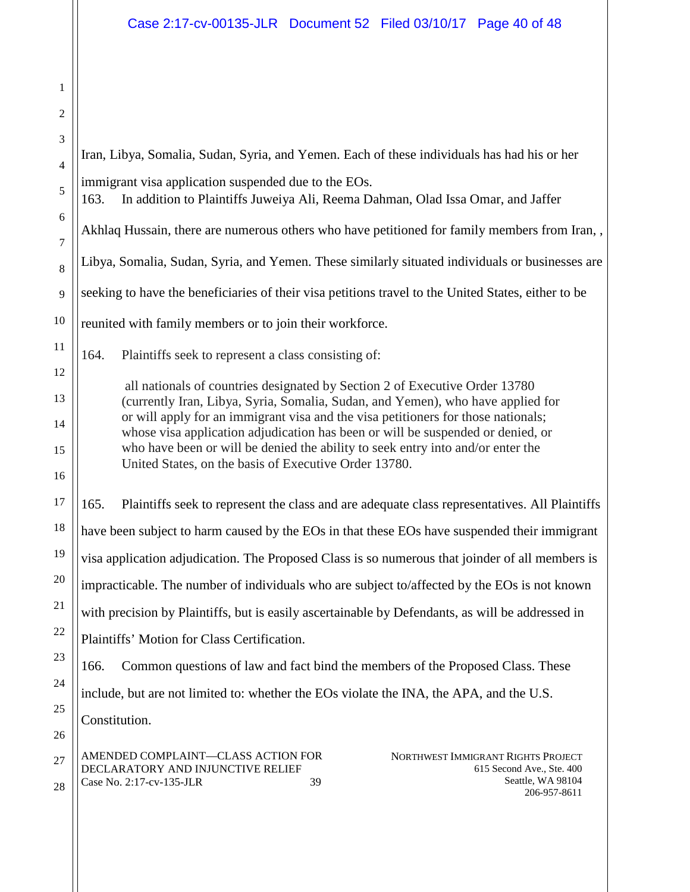1

2 3 4 5 6 7 8 9 10 11 12 13 14 15 16 17 18 19 20 21 22 23 24 25 26 27 28 NORTHWEST IMMIGRANT RIGHTS PROJECT 615 Second Ave., Ste. 400 Seattle, WA 98104 206-957-8611 AMENDED COMPLAINT—CLASS ACTION FOR DECLARATORY AND INJUNCTIVE RELIEF Case No. 2:17-cv-135-JLR 39 Iran, Libya, Somalia, Sudan, Syria, and Yemen. Each of these individuals has had his or her immigrant visa application suspended due to the EOs. 163. In addition to Plaintiffs Juweiya Ali, Reema Dahman, Olad Issa Omar, and Jaffer Akhlaq Hussain, there are numerous others who have petitioned for family members from Iran, , Libya, Somalia, Sudan, Syria, and Yemen. These similarly situated individuals or businesses are seeking to have the beneficiaries of their visa petitions travel to the United States, either to be reunited with family members or to join their workforce. 164. Plaintiffs seek to represent a class consisting of: all nationals of countries designated by Section 2 of Executive Order 13780 (currently Iran, Libya, Syria, Somalia, Sudan, and Yemen), who have applied for or will apply for an immigrant visa and the visa petitioners for those nationals; whose visa application adjudication has been or will be suspended or denied, or who have been or will be denied the ability to seek entry into and/or enter the United States, on the basis of Executive Order 13780. 165. Plaintiffs seek to represent the class and are adequate class representatives. All Plaintiffs have been subject to harm caused by the EOs in that these EOs have suspended their immigrant visa application adjudication. The Proposed Class is so numerous that joinder of all members is impracticable. The number of individuals who are subject to/affected by the EOs is not known with precision by Plaintiffs, but is easily ascertainable by Defendants, as will be addressed in Plaintiffs' Motion for Class Certification. 166. Common questions of law and fact bind the members of the Proposed Class. These include, but are not limited to: whether the EOs violate the INA, the APA, and the U.S. Constitution.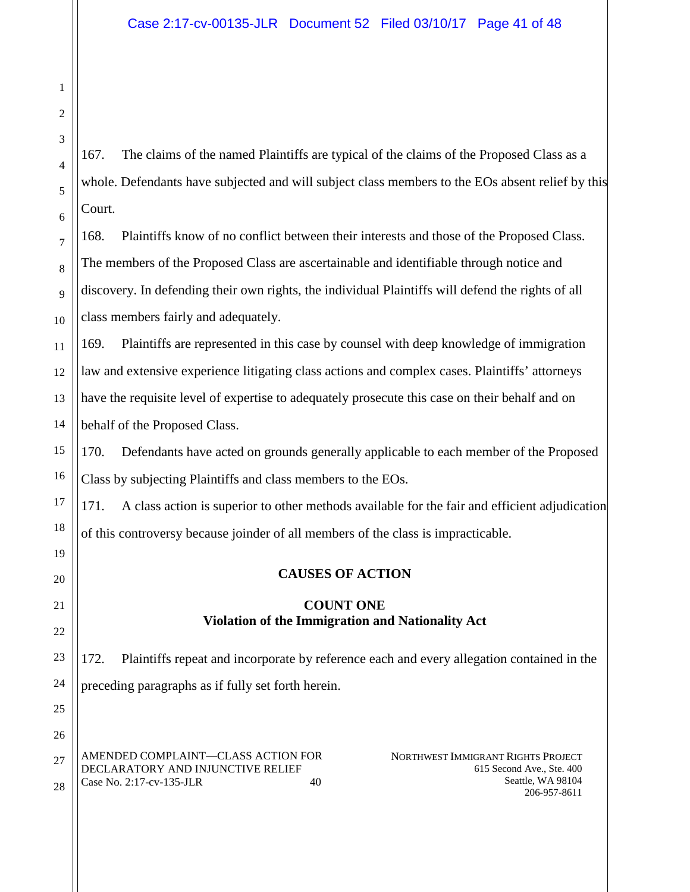167. The claims of the named Plaintiffs are typical of the claims of the Proposed Class as a whole. Defendants have subjected and will subject class members to the EOs absent relief by this Court.

168. Plaintiffs know of no conflict between their interests and those of the Proposed Class. The members of the Proposed Class are ascertainable and identifiable through notice and discovery. In defending their own rights, the individual Plaintiffs will defend the rights of all class members fairly and adequately.

169. Plaintiffs are represented in this case by counsel with deep knowledge of immigration law and extensive experience litigating class actions and complex cases. Plaintiffs' attorneys have the requisite level of expertise to adequately prosecute this case on their behalf and on behalf of the Proposed Class.

170. Defendants have acted on grounds generally applicable to each member of the Proposed Class by subjecting Plaintiffs and class members to the EOs.

171. A class action is superior to other methods available for the fair and efficient adjudication of this controversy because joinder of all members of the class is impracticable.

# **CAUSES OF ACTION**

## **COUNT ONE Violation of the Immigration and Nationality Act**

172. Plaintiffs repeat and incorporate by reference each and every allegation contained in the preceding paragraphs as if fully set forth herein.

AMENDED COMPLAINT—CLASS ACTION FOR DECLARATORY AND INJUNCTIVE RELIEF Case No. 2:17-cv-135-JLR 40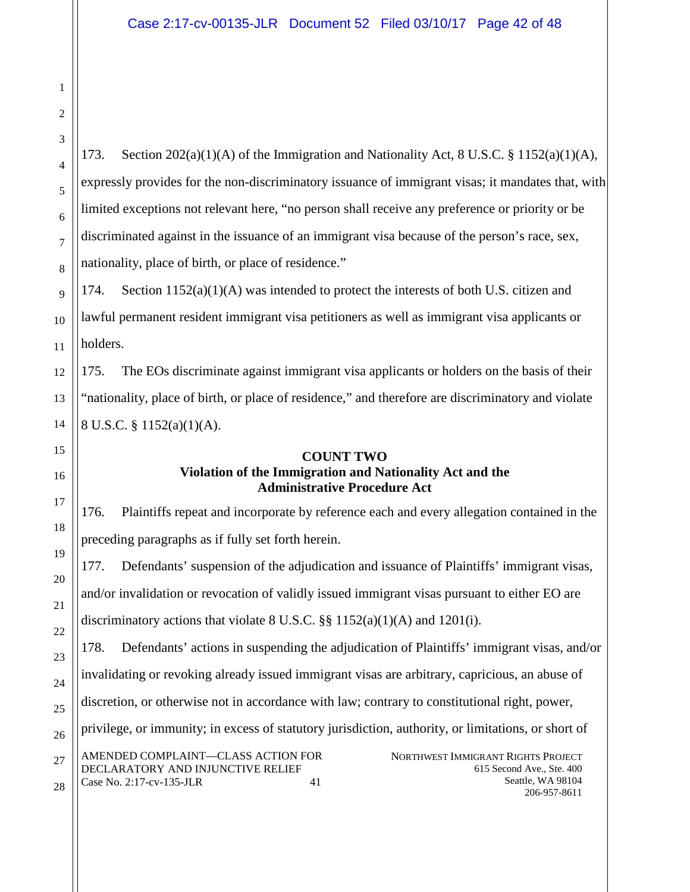173. Section  $202(a)(1)(A)$  of the Immigration and Nationality Act, 8 U.S.C. § 1152(a)(1)(A), expressly provides for the non-discriminatory issuance of immigrant visas; it mandates that, with limited exceptions not relevant here, "no person shall receive any preference or priority or be discriminated against in the issuance of an immigrant visa because of the person's race, sex, nationality, place of birth, or place of residence."

174. Section 1152(a)(1)(A) was intended to protect the interests of both U.S. citizen and lawful permanent resident immigrant visa petitioners as well as immigrant visa applicants or holders.

175. The EOs discriminate against immigrant visa applicants or holders on the basis of their "nationality, place of birth, or place of residence," and therefore are discriminatory and violate 8 U.S.C. § 1152(a)(1)(A).

## **COUNT TWO Violation of the Immigration and Nationality Act and the Administrative Procedure Act**

176. Plaintiffs repeat and incorporate by reference each and every allegation contained in the preceding paragraphs as if fully set forth herein.

177. Defendants' suspension of the adjudication and issuance of Plaintiffs' immigrant visas, and/or invalidation or revocation of validly issued immigrant visas pursuant to either EO are discriminatory actions that violate  $8 \text{ U.S.C.}$  §§  $1152(a)(1)(A)$  and  $1201(i)$ .

178. Defendants' actions in suspending the adjudication of Plaintiffs' immigrant visas, and/or

invalidating or revoking already issued immigrant visas are arbitrary, capricious, an abuse of

discretion, or otherwise not in accordance with law; contrary to constitutional right, power,

privilege, or immunity; in excess of statutory jurisdiction, authority, or limitations, or short of

AMENDED COMPLAINT—CLASS ACTION FOR DECLARATORY AND INJUNCTIVE RELIEF Case No. 2:17-cv-135-JLR 41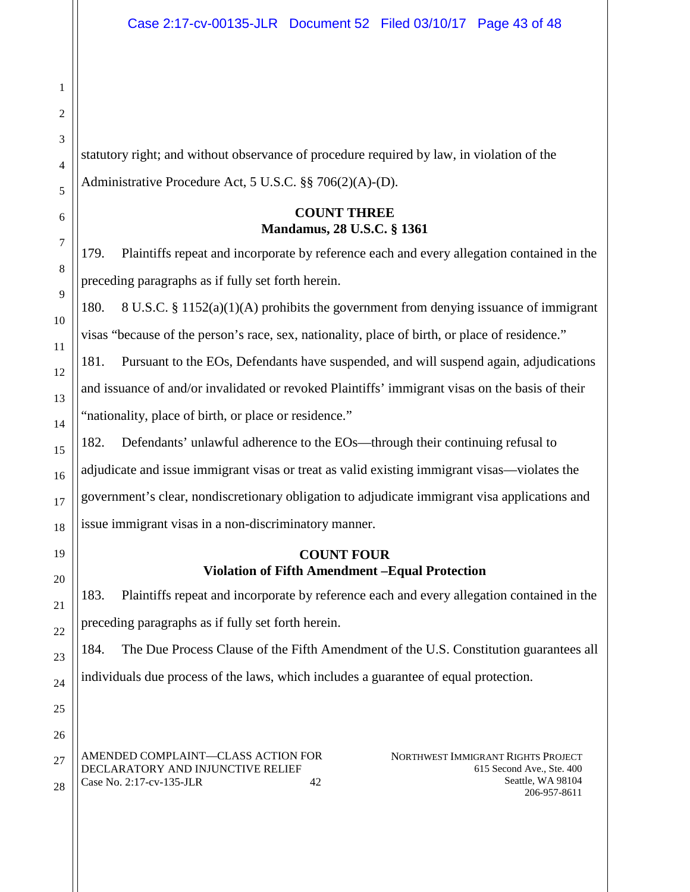statutory right; and without observance of procedure required by law, in violation of the Administrative Procedure Act, 5 U.S.C. §§ 706(2)(A)-(D).

### **COUNT THREE Mandamus, 28 U.S.C. § 1361**

179. Plaintiffs repeat and incorporate by reference each and every allegation contained in the preceding paragraphs as if fully set forth herein.

180. 8 U.S.C. § 1152(a)(1)(A) prohibits the government from denying issuance of immigrant visas "because of the person's race, sex, nationality, place of birth, or place of residence."

181. Pursuant to the EOs, Defendants have suspended, and will suspend again, adjudications and issuance of and/or invalidated or revoked Plaintiffs' immigrant visas on the basis of their "nationality, place of birth, or place or residence."

182. Defendants' unlawful adherence to the EOs—through their continuing refusal to adjudicate and issue immigrant visas or treat as valid existing immigrant visas—violates the government's clear, nondiscretionary obligation to adjudicate immigrant visa applications and issue immigrant visas in a non-discriminatory manner.

## **COUNT FOUR Violation of Fifth Amendment –Equal Protection**

183. Plaintiffs repeat and incorporate by reference each and every allegation contained in the preceding paragraphs as if fully set forth herein.

184. The Due Process Clause of the Fifth Amendment of the U.S. Constitution guarantees all individuals due process of the laws, which includes a guarantee of equal protection.

AMENDED COMPLAINT—CLASS ACTION FOR DECLARATORY AND INJUNCTIVE RELIEF Case No. 2:17-cv-135-JLR 42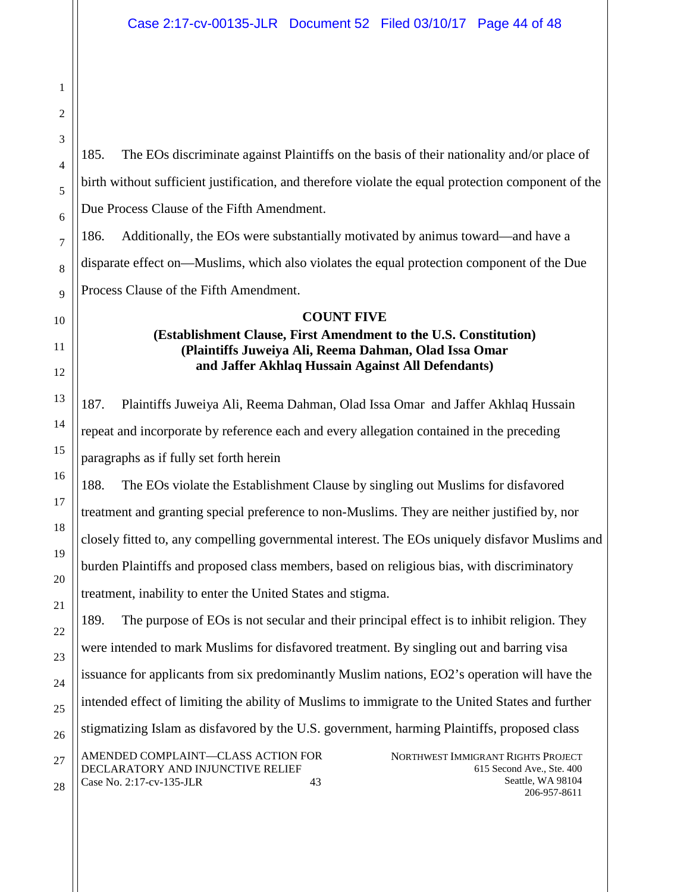185. The EOs discriminate against Plaintiffs on the basis of their nationality and/or place of birth without sufficient justification, and therefore violate the equal protection component of the Due Process Clause of the Fifth Amendment.

186. Additionally, the EOs were substantially motivated by animus toward—and have a disparate effect on—Muslims, which also violates the equal protection component of the Due Process Clause of the Fifth Amendment.

#### **COUNT FIVE**

### **(Establishment Clause, First Amendment to the U.S. Constitution) (Plaintiffs Juweiya Ali, Reema Dahman, Olad Issa Omar and Jaffer Akhlaq Hussain Against All Defendants)**

187. Plaintiffs Juweiya Ali, Reema Dahman, Olad Issa Omar and Jaffer Akhlaq Hussain repeat and incorporate by reference each and every allegation contained in the preceding paragraphs as if fully set forth herein

188. The EOs violate the Establishment Clause by singling out Muslims for disfavored treatment and granting special preference to non-Muslims. They are neither justified by, nor closely fitted to, any compelling governmental interest. The EOs uniquely disfavor Muslims and burden Plaintiffs and proposed class members, based on religious bias, with discriminatory treatment, inability to enter the United States and stigma.

189. The purpose of EOs is not secular and their principal effect is to inhibit religion. They were intended to mark Muslims for disfavored treatment. By singling out and barring visa issuance for applicants from six predominantly Muslim nations, EO2's operation will have the intended effect of limiting the ability of Muslims to immigrate to the United States and further stigmatizing Islam as disfavored by the U.S. government, harming Plaintiffs, proposed class

AMENDED COMPLAINT—CLASS ACTION FOR DECLARATORY AND INJUNCTIVE RELIEF Case No. 2:17-cv-135-JLR 43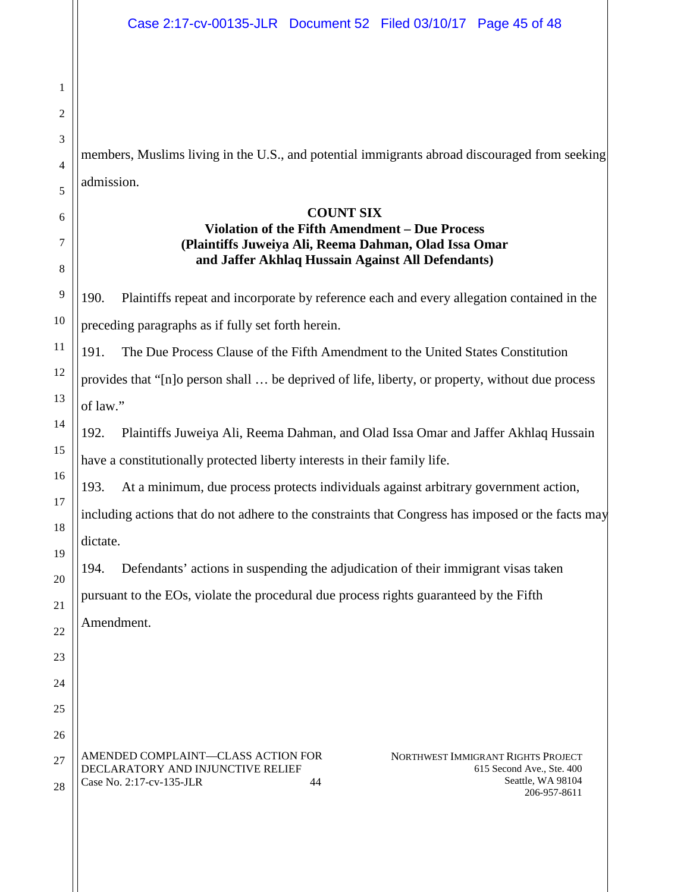members, Muslims living in the U.S., and potential immigrants abroad discouraged from seeking admission.

### **COUNT SIX**

# **Violation of the Fifth Amendment – Due Process (Plaintiffs Juweiya Ali, Reema Dahman, Olad Issa Omar and Jaffer Akhlaq Hussain Against All Defendants)**

190. Plaintiffs repeat and incorporate by reference each and every allegation contained in the preceding paragraphs as if fully set forth herein.

191. The Due Process Clause of the Fifth Amendment to the United States Constitution provides that "[n]o person shall … be deprived of life, liberty, or property, without due process of law."

192. Plaintiffs Juweiya Ali, Reema Dahman, and Olad Issa Omar and Jaffer Akhlaq Hussain have a constitutionally protected liberty interests in their family life.

193. At a minimum, due process protects individuals against arbitrary government action,

including actions that do not adhere to the constraints that Congress has imposed or the facts may dictate.

194. Defendants' actions in suspending the adjudication of their immigrant visas taken pursuant to the EOs, violate the procedural due process rights guaranteed by the Fifth Amendment.

AMENDED COMPLAINT—CLASS ACTION FOR DECLARATORY AND INJUNCTIVE RELIEF Case No. 2:17-cv-135-JLR 44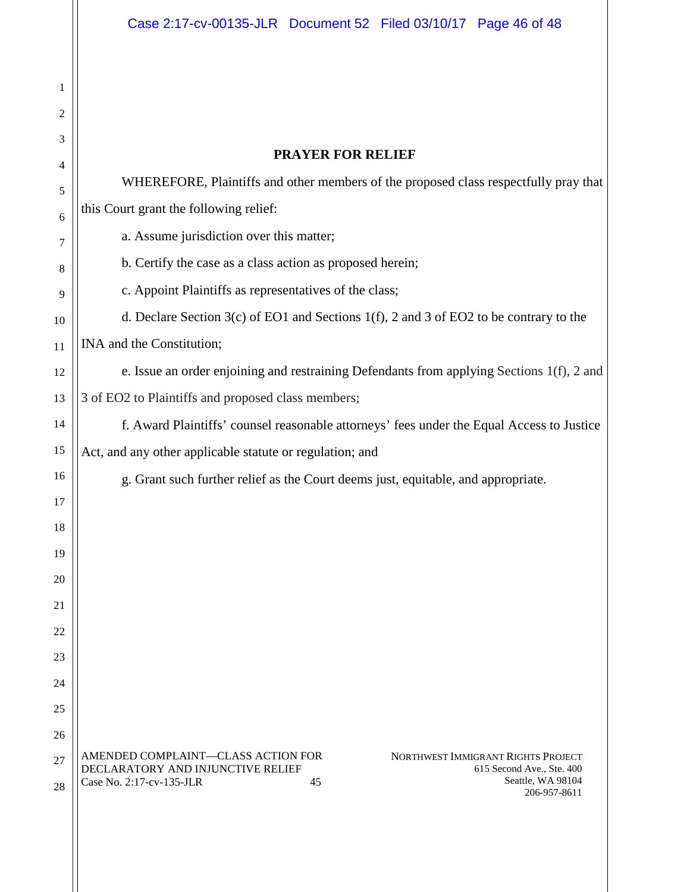| 1        |                                                                                                                       |
|----------|-----------------------------------------------------------------------------------------------------------------------|
| 2        |                                                                                                                       |
| 3        | <b>PRAYER FOR RELIEF</b>                                                                                              |
| 4        | WHEREFORE, Plaintiffs and other members of the proposed class respectfully pray that                                  |
| 5        | this Court grant the following relief:                                                                                |
| 6<br>7   | a. Assume jurisdiction over this matter;                                                                              |
| 8        | b. Certify the case as a class action as proposed herein;                                                             |
| 9        | c. Appoint Plaintiffs as representatives of the class;                                                                |
| 10       | d. Declare Section $3(c)$ of EO1 and Sections 1(f), 2 and 3 of EO2 to be contrary to the                              |
| 11       | INA and the Constitution;                                                                                             |
| 12       | e. Issue an order enjoining and restraining Defendants from applying Sections 1(f), 2 and                             |
| 13       | 3 of EO2 to Plaintiffs and proposed class members;                                                                    |
| 14       | f. Award Plaintiffs' counsel reasonable attorneys' fees under the Equal Access to Justice                             |
| 15       | Act, and any other applicable statute or regulation; and                                                              |
| 16       | g. Grant such further relief as the Court deems just, equitable, and appropriate.                                     |
| 17       |                                                                                                                       |
| 18       |                                                                                                                       |
| 19       |                                                                                                                       |
| 20       |                                                                                                                       |
| 21       |                                                                                                                       |
| 22       |                                                                                                                       |
| 23       |                                                                                                                       |
| 24       |                                                                                                                       |
| 25<br>26 |                                                                                                                       |
| 27       | AMENDED COMPLAINT-CLASS ACTION FOR<br>NORTHWEST IMMIGRANT RIGHTS PROJECT                                              |
| 28       | DECLARATORY AND INJUNCTIVE RELIEF<br>615 Second Ave., Ste. 400<br>Seattle, WA 98104<br>Case No. 2:17-cv-135-JLR<br>45 |
|          | 206-957-8611                                                                                                          |
|          |                                                                                                                       |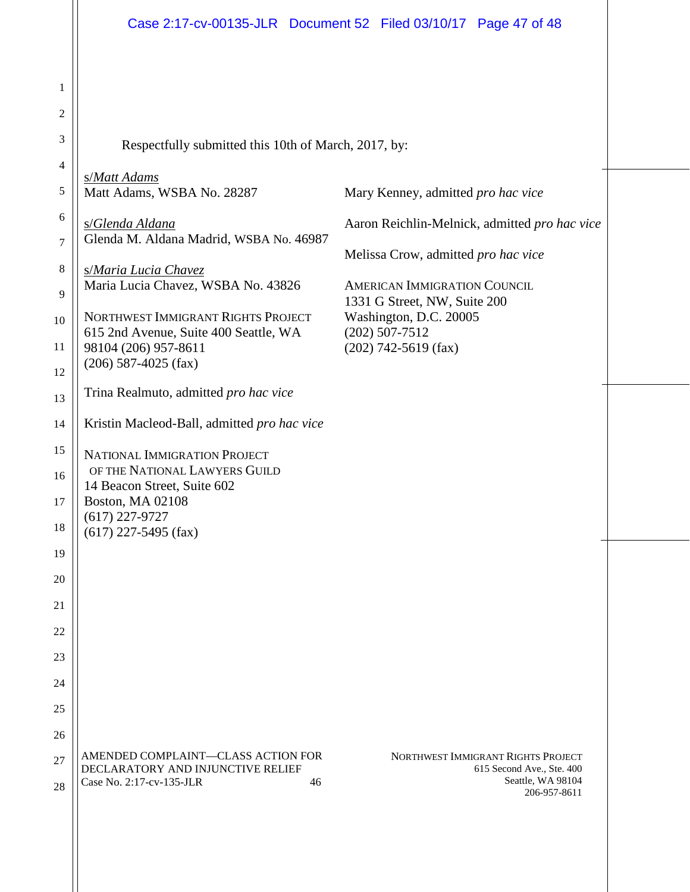1 2 3 4 5 6 7 8 9 10 11 12 13 14 15 16 17 18 19 20 21 22 23 24 25 26 27 28 NORTHWEST IMMIGRANT RIGHTS PROJECT 615 Second Ave., Ste. 400 Seattle, WA 98104 206-957-8611 AMENDED COMPLAINT—CLASS ACTION FOR DECLARATORY AND INJUNCTIVE RELIEF Case No. 2:17-cv-135-JLR 46 Respectfully submitted this 10th of March, 2017, by: s/*Matt Adams* Matt Adams, WSBA No. 28287 s/*Glenda Aldana* Glenda M. Aldana Madrid, WSBA No. 46987 s/*Maria Lucia Chavez* Maria Lucia Chavez, WSBA No. 43826 NORTHWEST IMMIGRANT RIGHTS PROJECT 615 2nd Avenue, Suite 400 Seattle, WA 98104 (206) 957-8611 (206) 587-4025 (fax) Mary Kenney, admitted *pro hac vice*  Aaron Reichlin-Melnick, admitted *pro hac vice*  Melissa Crow, admitted *pro hac vice* AMERICAN IMMIGRATION COUNCIL 1331 G Street, NW, Suite 200 Washington, D.C. 20005 (202) 507-7512 (202) 742-5619 (fax) Trina Realmuto, admitted *pro hac vice* Kristin Macleod-Ball, admitted *pro hac vice* NATIONAL IMMIGRATION PROJECT OF THE NATIONAL LAWYERS GUILD 14 Beacon Street, Suite 602 Boston, MA 02108 (617) 227-9727 (617) 227-5495 (fax)